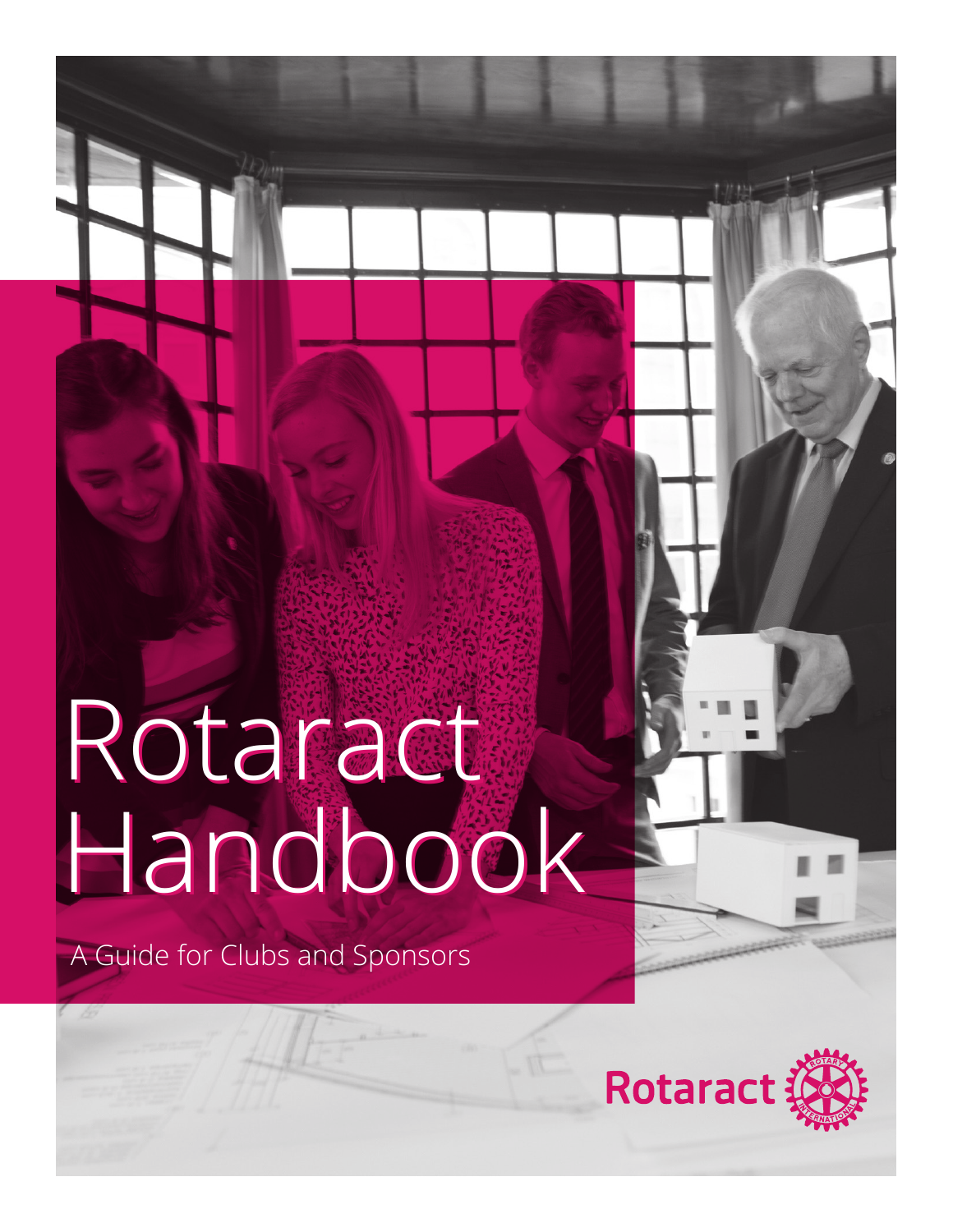### Rotaract Handbook Rotaract Handbook

A Guide for Clubs and Sponsors

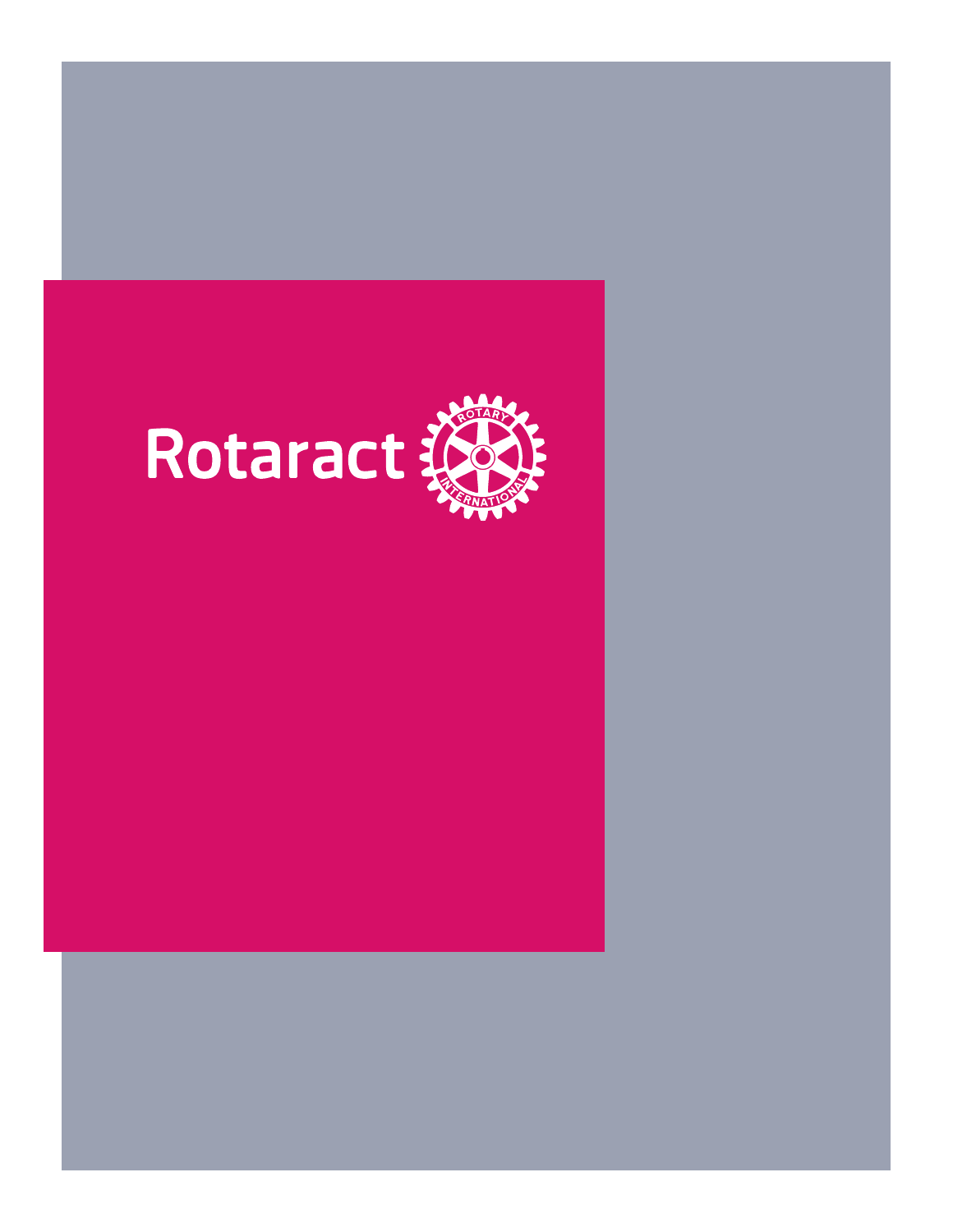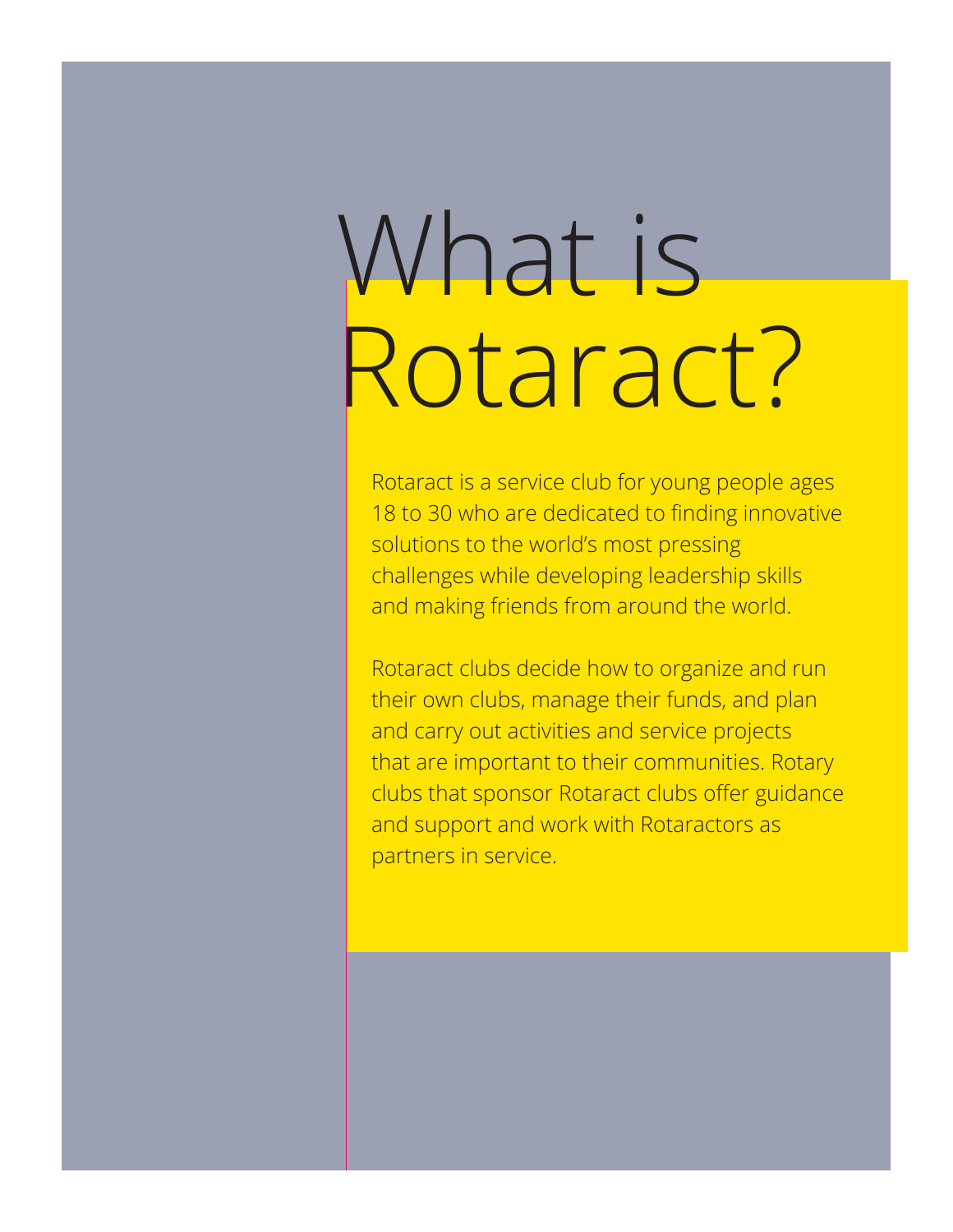### What is Rotaract?

Rotaract is a service club for young people ages 18 to 30 who are dedicated to finding innovative solutions to the world's most pressing challenges while developing leadership skills and making friends from around the world.

Rotaract clubs decide how to organize and run their own clubs, manage their funds, and plan and carry out activities and service projects that are important to their communities. Rotary clubs that sponsor Rotaract clubs offer guidance and support and work with Rotaractors as partners in service.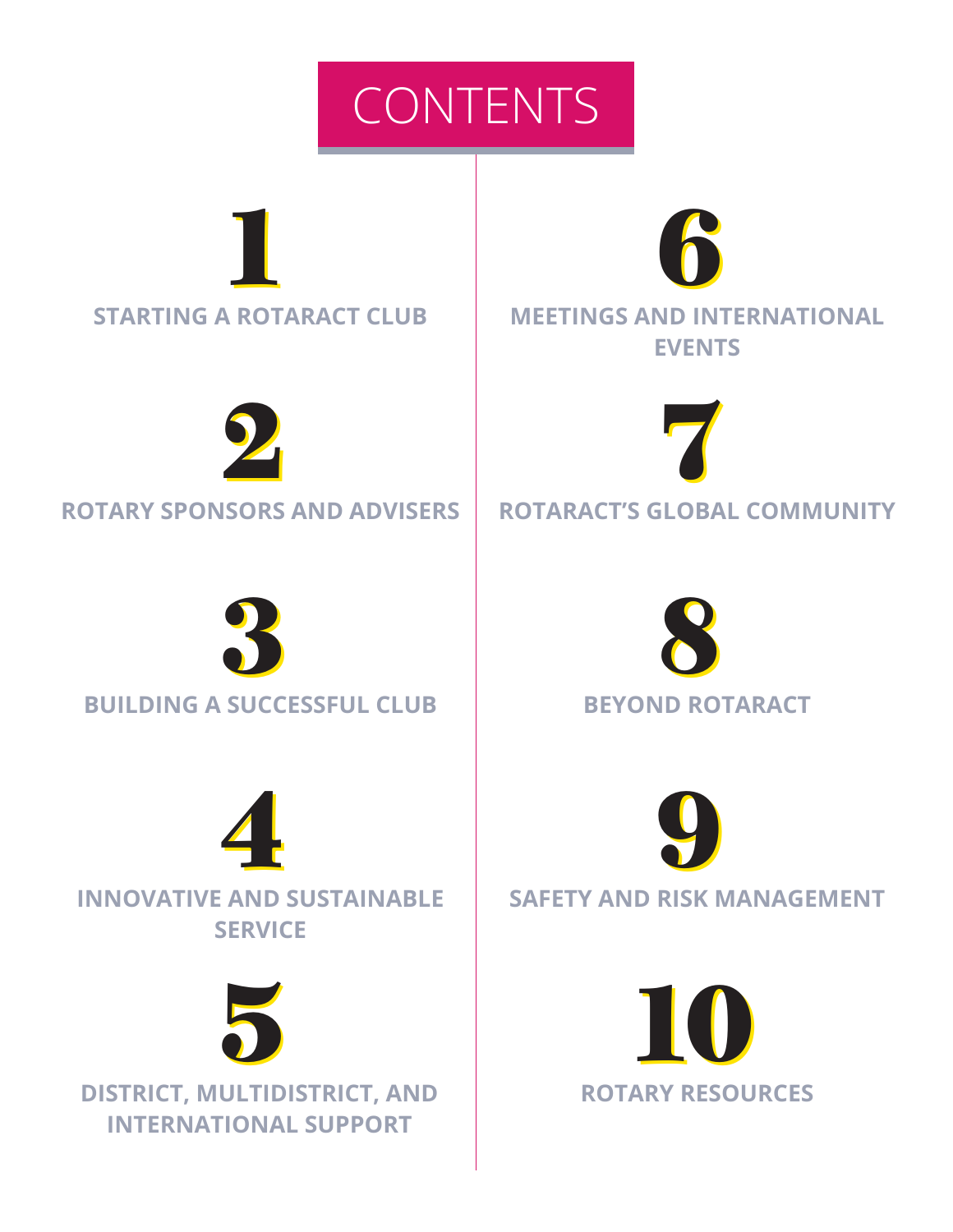





**ROTARY SPONSORS AND ADVISERS ROTARACT'S GLOBAL COMMUNITY**







**DISTRICT, MULTIDISTRICT, AND INTERNATIONAL SUPPORT**

**STARTING A ROTARACT CLUB MEETINGS AND INTERNATIONAL EVENTS**







**SAFETY AND RISK MANAGEMENT**

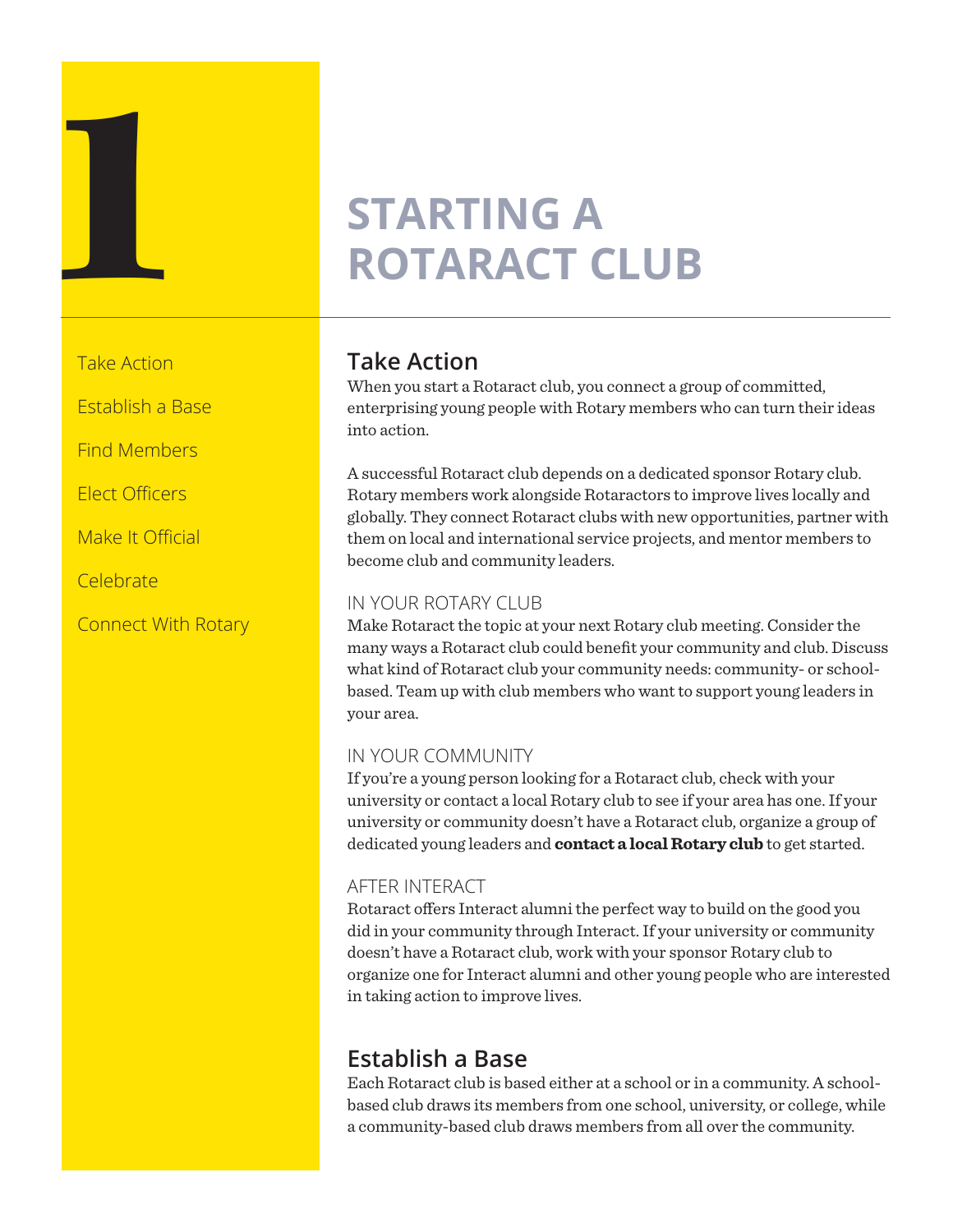## **STARTING A ROTARACT C ROTARACT CLUB**

Take Action

Establish a Base

Find Members

Elect Officers

Make It Official

Celebrate

Connect With Rotary

### **Take Action**

When you start a Rotaract club, you connect a group of committed, enterprising young people with Rotary members who can turn their ideas into action.

A successful Rotaract club depends on a dedicated sponsor Rotary club. Rotary members work alongside Rotaractors to improve lives locally and globally. They connect Rotaract clubs with new opportunities, partner with them on local and international service projects, and mentor members to become club and community leaders.

### IN YOUR ROTARY CLUB

Make Rotaract the topic at your next Rotary club meeting. Consider the many ways a Rotaract club could benefit your community and club. Discuss what kind of Rotaract club your community needs: community- or schoolbased. Team up with club members who want to support young leaders in your area.

### IN YOUR COMMUNITY

If you're a young person looking for a Rotaract club, check with your university or contact a local Rotary club to see if your area has one. If your university or community doesn't have a Rotaract club, organize a group of dedicated young leaders and **[contact a local Rotary club](https://my.rotary.org/en/search/club-finder)** to get started.

### AFTER INTERACT

Rotaract offers Interact alumni the perfect way to build on the good you did in your community through Interact. If your university or community doesn't have a Rotaract club, work with your sponsor Rotary club to organize one for Interact alumni and other young people who are interested in taking action to improve lives.

### **Establish a Base**

Each Rotaract club is based either at a school or in a community. A schoolbased club draws its members from one school, university, or college, while a community-based club draws members from all over the community.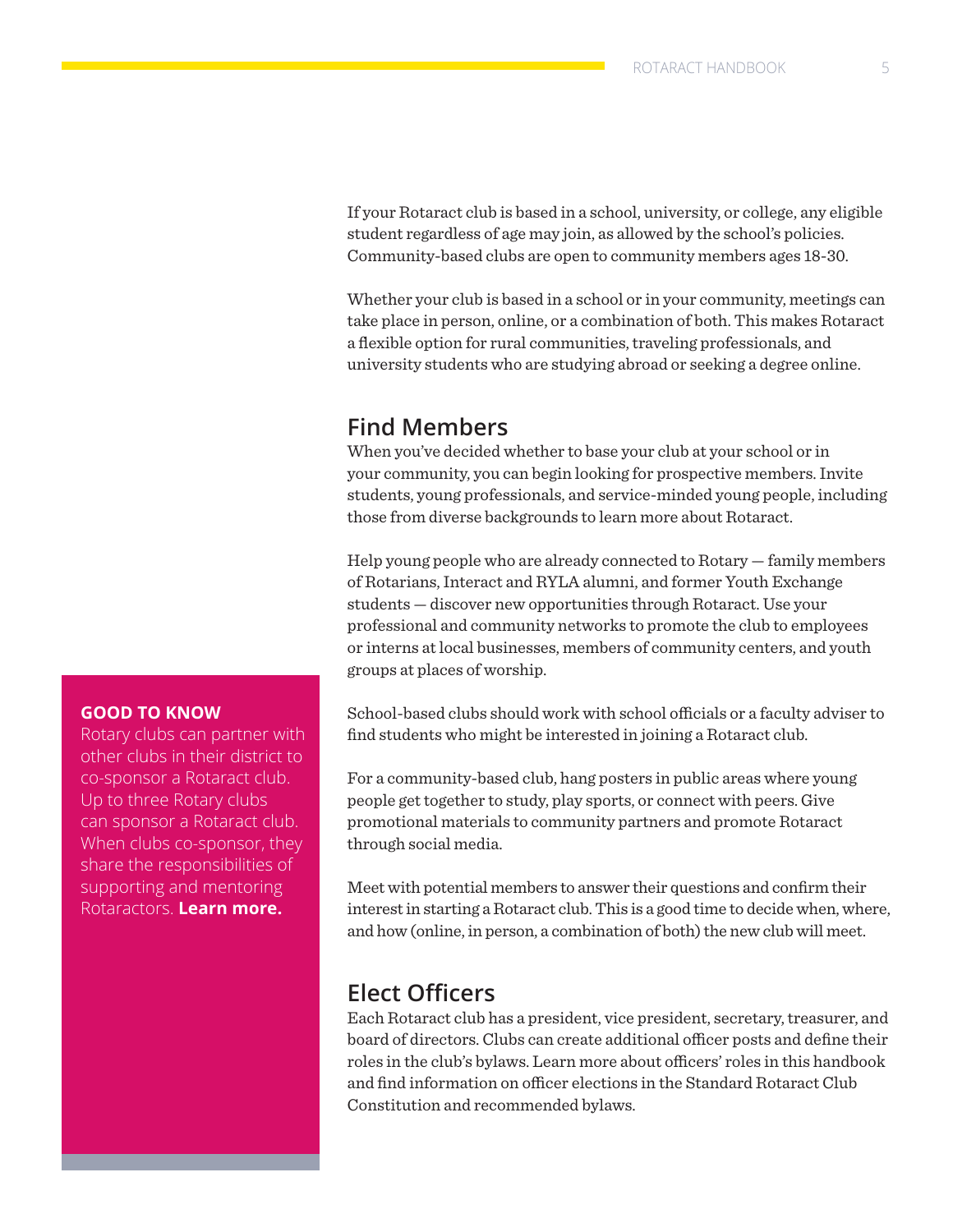If your Rotaract club is based in a school, university, or college, any eligible student regardless of age may join, as allowed by the school's policies. Community-based clubs are open to community members ages 18-30.

Whether your club is based in a school or in your community, meetings can take place in person, online, or a combination of both. This makes Rotaract a flexible option for rural communities, traveling professionals, and university students who are studying abroad or seeking a degree online.

### **Find Members**

When you've decided whether to base your club at your school or in your community, you can begin looking for prospective members. Invite students, young professionals, and service-minded young people, including those from diverse backgrounds to learn more about Rotaract.

Help young people who are already connected to Rotary — family members of Rotarians, Interact and RYLA alumni, and former Youth Exchange students — discover new opportunities through Rotaract. Use your professional and community networks to promote the club to employees or interns at local businesses, members of community centers, and youth groups at places of worship.

School-based clubs should work with school officials or a faculty adviser to find students who might be interested in joining a Rotaract club.

For a community-based club, hang posters in public areas where young people get together to study, play sports, or connect with peers. Give promotional materials to community partners and promote Rotaract through social media.

Meet with potential members to answer their questions and confirm their interest in starting a Rotaract club. This is a good time to decide when, where, and how (online, in person, a combination of both) the new club will meet.

### **Elect Officers**

Each Rotaract club has a president, vice president, secretary, treasurer, and board of directors. Clubs can create additional officer posts and define their roles in the club's bylaws. Learn more about officers' roles in this handbook and find information on officer elections in the Standard Rotaract Club Constitution and recommended bylaws.

### **GOOD TO KNOW**

Rotary clubs can partner with other clubs in their district to co-sponsor a Rotaract club. Up to three Rotary clubs can sponsor a Rotaract club. When clubs co-sponsor, they share the responsibilities of supporting and mentoring Rotaractors. **[Learn more.](https://my.rotary.org/en/document/interact-and-rotaract-sponsorship-and-co-sponsorship)**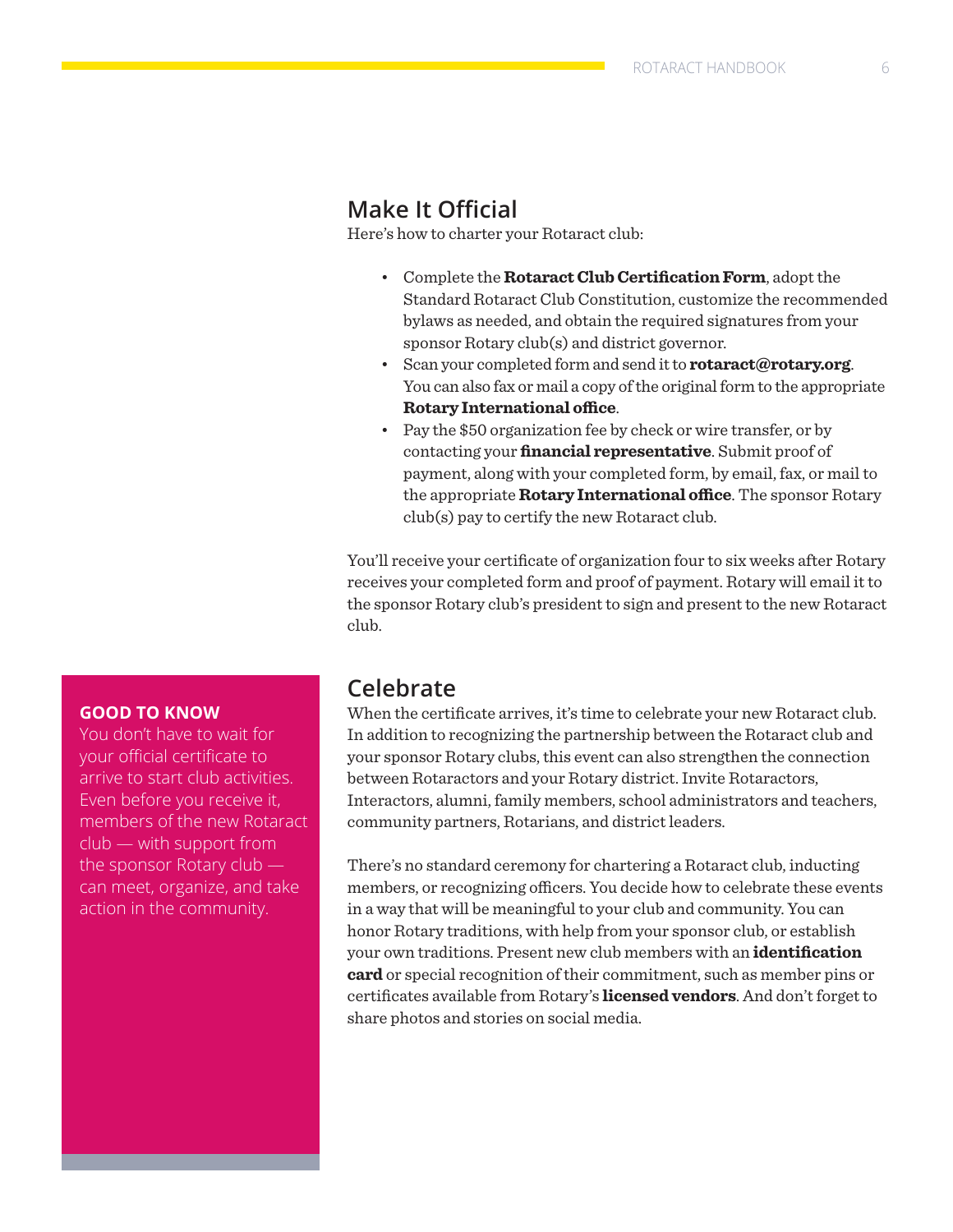### **Make It Official**

Here's how to charter your Rotaract club:

- Complete the **[Rotaract Club Certification Form](https://my.rotary.org/en/document/rotaract-club-certification-form)**, adopt the Standard Rotaract Club Constitution, customize the recommended bylaws as needed, and obtain the required signatures from your sponsor Rotary club(s) and district governor.
- Scan your completed form and send it to **[rotaract@rotary.org](mailto:rotaract@rotary.org)**. You can also fax or mail a copy of the original form to the appropriate **[Rotary International office](https://www.rotary.org/en/international-offices)**.
- Pay the \$50 organization fee by check or wire transfer, or by contacting your **[financial representative](https://my.rotary.org/en/contact/representatives)**. Submit proof of payment, along with your completed form, by email, fax, or mail to the appropriate **[Rotary International office](https://www.rotary.org/en/international-offices)**. The sponsor Rotary club(s) pay to certify the new Rotaract club.

You'll receive your certificate of organization four to six weeks after Rotary receives your completed form and proof of payment. Rotary will email it to the sponsor Rotary club's president to sign and present to the new Rotaract club.

### **GOOD TO KNOW**

You don't have to wait for your official certificate to arrive to start club activities. Even before you receive it, members of the new Rotaract club — with support from the sponsor Rotary club can meet, organize, and take action in the community.

### **Celebrate**

When the certificate arrives, it's time to celebrate your new Rotaract club. In addition to recognizing the partnership between the Rotaract club and your sponsor Rotary clubs, this event can also strengthen the connection between Rotaractors and your Rotary district. Invite Rotaractors, Interactors, alumni, family members, school administrators and teachers, community partners, Rotarians, and district leaders.

There's no standard ceremony for chartering a Rotaract club, inducting members, or recognizing officers. You decide how to celebrate these events in a way that will be meaningful to your club and community. You can honor Rotary traditions, with help from your sponsor club, or establish your own traditions. Present new club members with an **[identification](https://my.rotary.org/en/document/rotaract-identification-card)  [card](https://my.rotary.org/en/document/rotaract-identification-card)** or special recognition of their commitment, such as member pins or certificates available from Rotary's **[licensed vendors](https://my.rotary.org/en/member-center/licensed-vendors)**. And don't forget to share photos and stories on social media.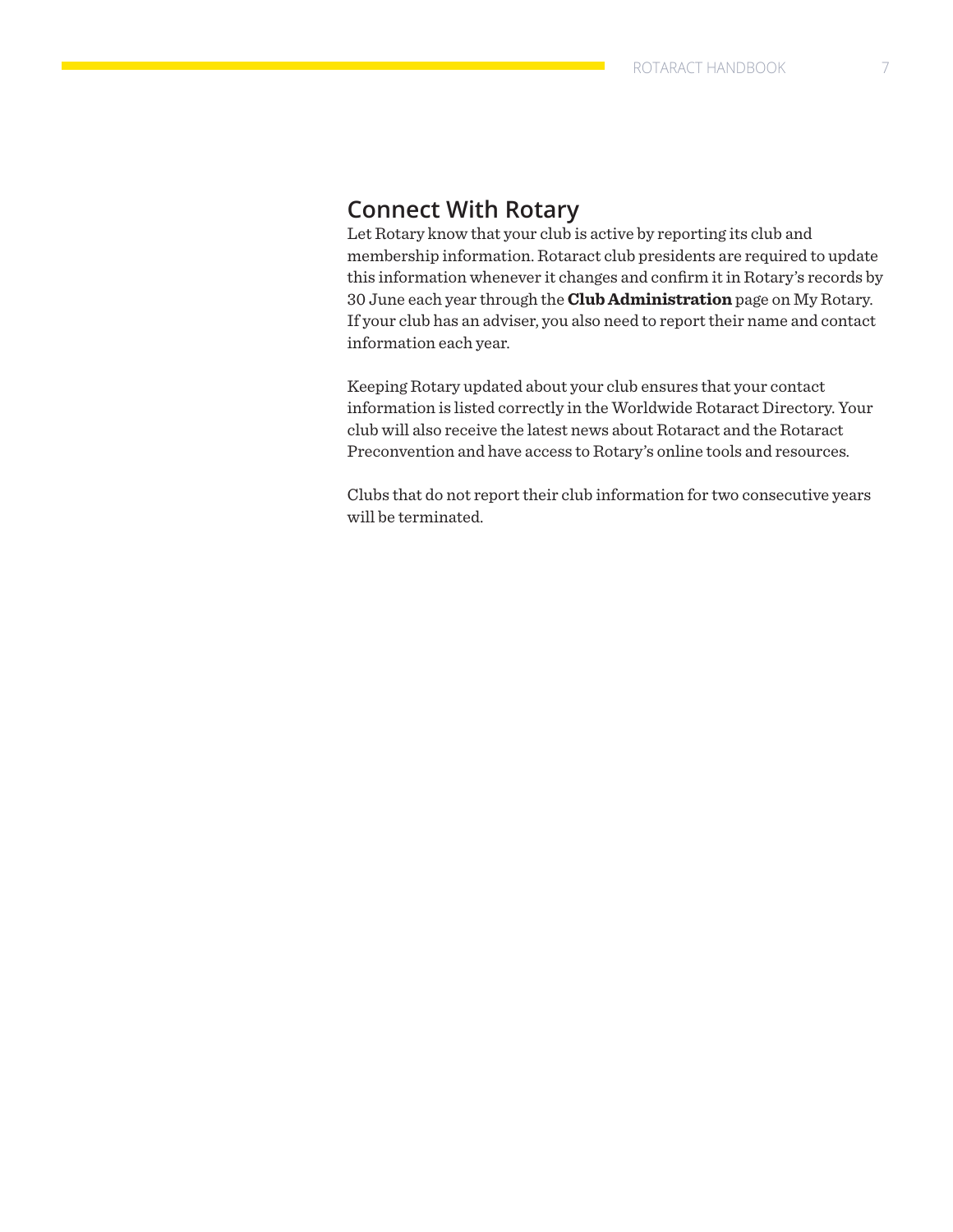### **Connect With Rotary**

Let Rotary know that your club is active by reporting its club and membership information. Rotaract club presidents are required to update this information whenever it changes and confirm it in Rotary's records by 30 June each year through the **[Club Administration](https://my.rotary.org/en/manage/club-district-administration/club-administration)** page on My Rotary. If your club has an adviser, you also need to report their name and contact information each year.

Keeping Rotary updated about your club ensures that your contact information is listed correctly in the Worldwide Rotaract Directory. Your club will also receive the latest news about Rotaract and the Rotaract Preconvention and have access to Rotary's online tools and resources.

Clubs that do not report their club information for two consecutive years will be terminated.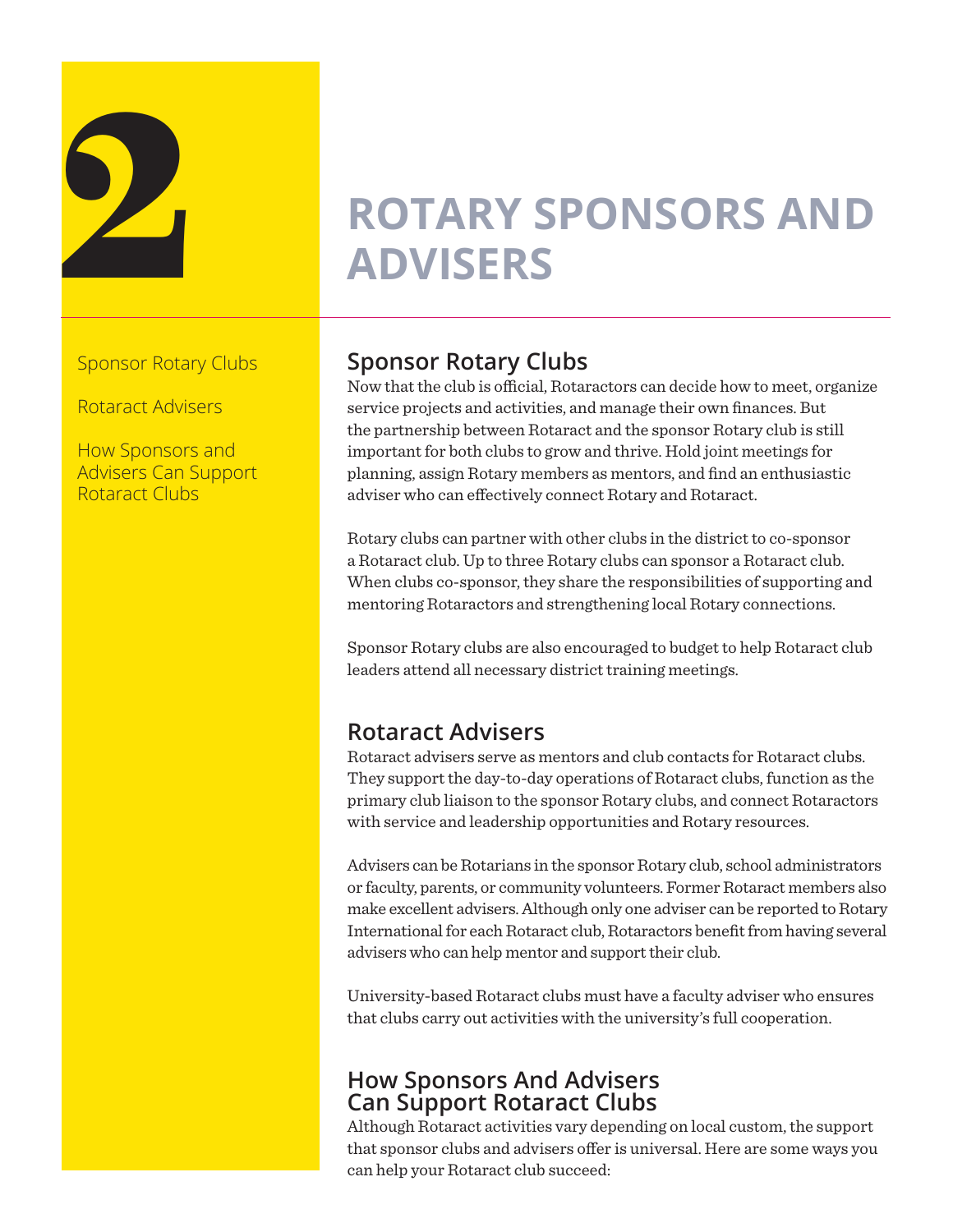

## **2 ROTARY SPONSORS AND ADVISERS ADVISERS**

Sponsor Rotary Clubs

Rotaract Advisers

How Sponsors and Advisers Can Support Rotaract Clubs

### **Sponsor Rotary Clubs**

Now that the club is official, Rotaractors can decide how to meet, organize service projects and activities, and manage their own finances. But the partnership between Rotaract and the sponsor Rotary club is still important for both clubs to grow and thrive. Hold joint meetings for planning, assign Rotary members as mentors, and find an enthusiastic adviser who can effectively connect Rotary and Rotaract.

Rotary clubs can partner with other clubs in the district to co-sponsor a Rotaract club. Up to three Rotary clubs can sponsor a Rotaract club. When clubs co-sponsor, they share the responsibilities of supporting and mentoring Rotaractors and strengthening local Rotary connections.

Sponsor Rotary clubs are also encouraged to budget to help Rotaract club leaders attend all necessary district training meetings.

### **Rotaract Advisers**

Rotaract advisers serve as mentors and club contacts for Rotaract clubs. They support the day-to-day operations of Rotaract clubs, function as the primary club liaison to the sponsor Rotary clubs, and connect Rotaractors with service and leadership opportunities and Rotary resources.

Advisers can be Rotarians in the sponsor Rotary club, school administrators or faculty, parents, or community volunteers. Former Rotaract members also make excellent advisers. Although only one adviser can be reported to Rotary International for each Rotaract club, Rotaractors benefit from having several advisers who can help mentor and support their club.

University-based Rotaract clubs must have a faculty adviser who ensures that clubs carry out activities with the university's full cooperation.

### **How Sponsors And Advisers Can Support Rotaract Clubs**

Although Rotaract activities vary depending on local custom, the support that sponsor clubs and advisers offer is universal. Here are some ways you can help your Rotaract club succeed: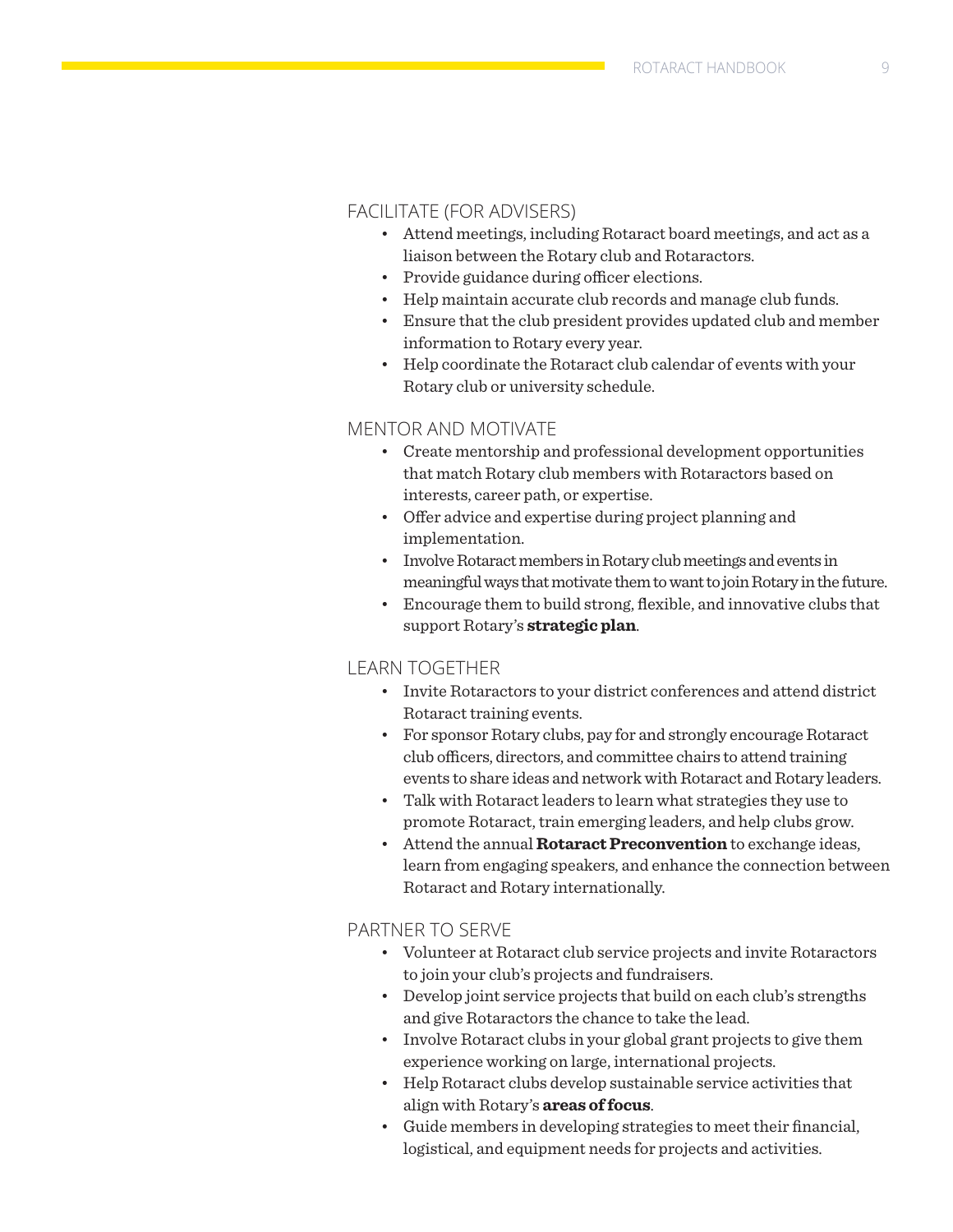### FACILITATE (FOR ADVISERS)

- Attend meetings, including Rotaract board meetings, and act as a liaison between the Rotary club and Rotaractors.
- Provide guidance during officer elections.
- Help maintain accurate club records and manage club funds.
- Ensure that the club president provides updated club and member information to Rotary every year.
- Help coordinate the Rotaract club calendar of events with your Rotary club or university schedule.

### MENTOR AND MOTIVATE

- Create mentorship and professional development opportunities that match Rotary club members with Rotaractors based on interests, career path, or expertise.
- Offer advice and expertise during project planning and implementation.
- Involve Rotaract members in Rotary club meetings and events in meaningful ways that motivate them to want to join Rotary in the future.
- Encourage them to build strong, flexible, and innovative clubs that support Rotary's **[strategic plan](https://www.rotary.org/myrotary/en/learning-reference/about-rotary/strategic-plan)**.

### LEARN TOGETHER

- Invite Rotaractors to your district conferences and attend district Rotaract training events.
- For sponsor Rotary clubs, pay for and strongly encourage Rotaract club officers, directors, and committee chairs to attend training events to share ideas and network with Rotaract and Rotary leaders.
- Talk with Rotaract leaders to learn what strategies they use to promote Rotaract, train emerging leaders, and help clubs grow.
- Attend the annual **[Rotaract Preconvention](http://echo4.bluehornet.com/ct/91627981:Tvp-H8bqN:m:1:2123618839:E7C03B28078C8B246524258C5A167DC4:r)** to exchange ideas, learn from engaging speakers, and enhance the connection between Rotaract and Rotary internationally.

### PARTNER TO SERVE

- Volunteer at Rotaract club service projects and invite Rotaractors to join your club's projects and fundraisers.
- Develop joint service projects that build on each club's strengths and give Rotaractors the chance to take the lead.
- Involve Rotaract clubs in your global grant projects to give them experience working on large, international projects.
- Help Rotaract clubs develop sustainable service activities that align with Rotary's **[areas of focus](https://www.rotary.org/en/learning-reference/about-rotary/areas-focus)**.
- Guide members in developing strategies to meet their financial, logistical, and equipment needs for projects and activities.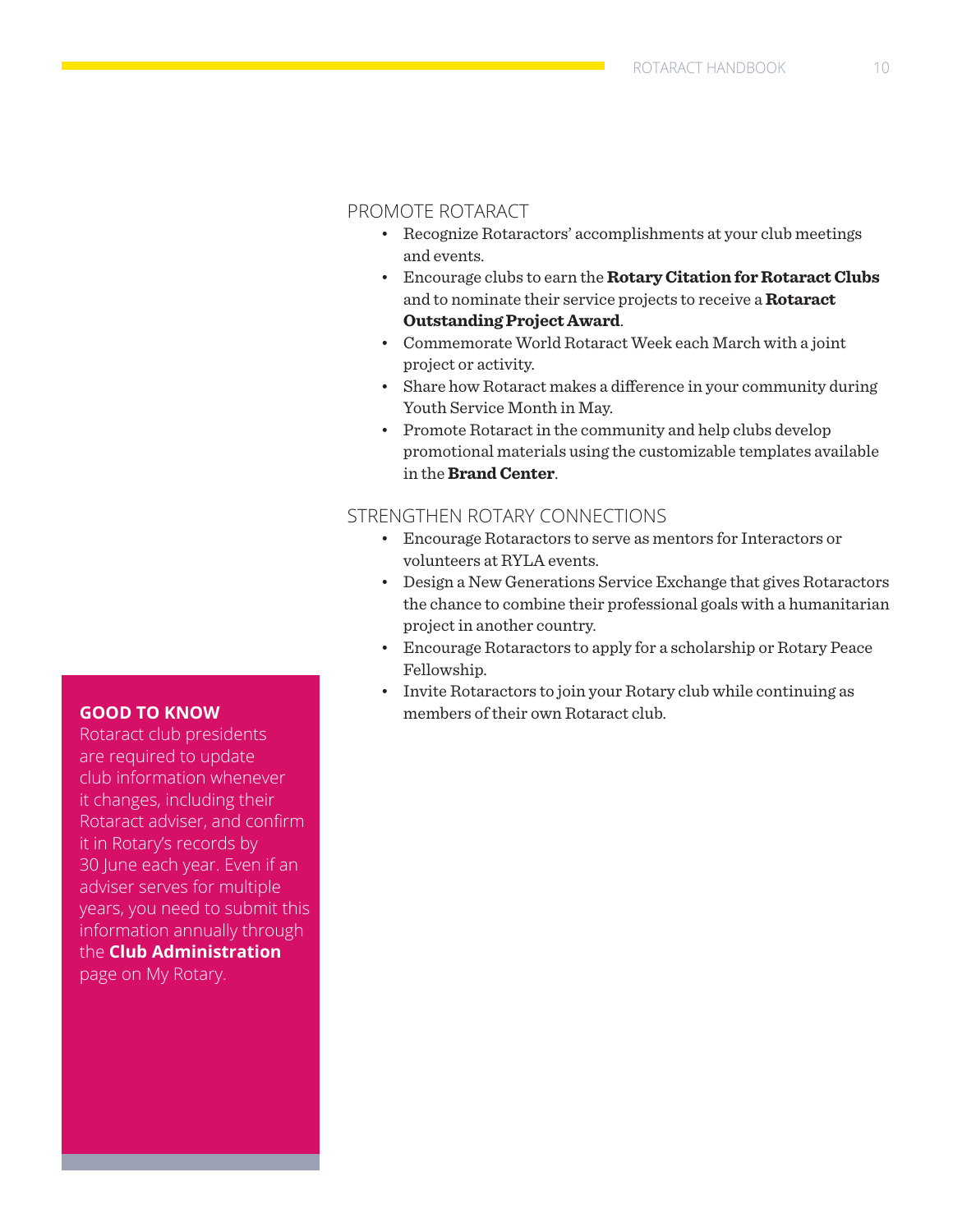### PROMOTE ROTARACT

- Recognize Rotaractors' accomplishments at your club meetings and events.
- Encourage clubs to earn the **[Rotary Citation for Rotaract Clubs](https://my.rotary.org/en/news-media/office-president/rotary-citation)** and to nominate their service projects to receive a **[Rotaract](https://my.rotary.org/en/learning-reference/learn-topic/awards)  [Outstanding Project Award](https://my.rotary.org/en/learning-reference/learn-topic/awards)**.
- Commemorate World Rotaract Week each March with a joint project or activity.
- Share how Rotaract makes a difference in your community during Youth Service Month in May.
- Promote Rotaract in the community and help clubs develop promotional materials using the customizable templates available in the **[Brand Center](https://my.rotary.org/en/secure/application/136)**.

### STRENGTHEN ROTARY CONNECTIONS

- Encourage Rotaractors to serve as mentors for Interactors or volunteers at RYLA events.
- Design a New Generations Service Exchange that gives Rotaractors the chance to combine their professional goals with a humanitarian project in another country.
- Encourage Rotaractors to apply for a scholarship or Rotary Peace Fellowship.
- Invite Rotaractors to join your Rotary club while continuing as members of their own Rotaract club.

### **GOOD TO KNOW**

Rotaract club presidents are required to update club information whenever it changes, including their Rotaract adviser, and confirm it in Rotary's records by 30 June each year. Even if an adviser serves for multiple years, you need to submit this information annually through the **[Club Administration](https://my.rotary.org/en/manage/club-district-administration/club-administration)** page on My Rotary.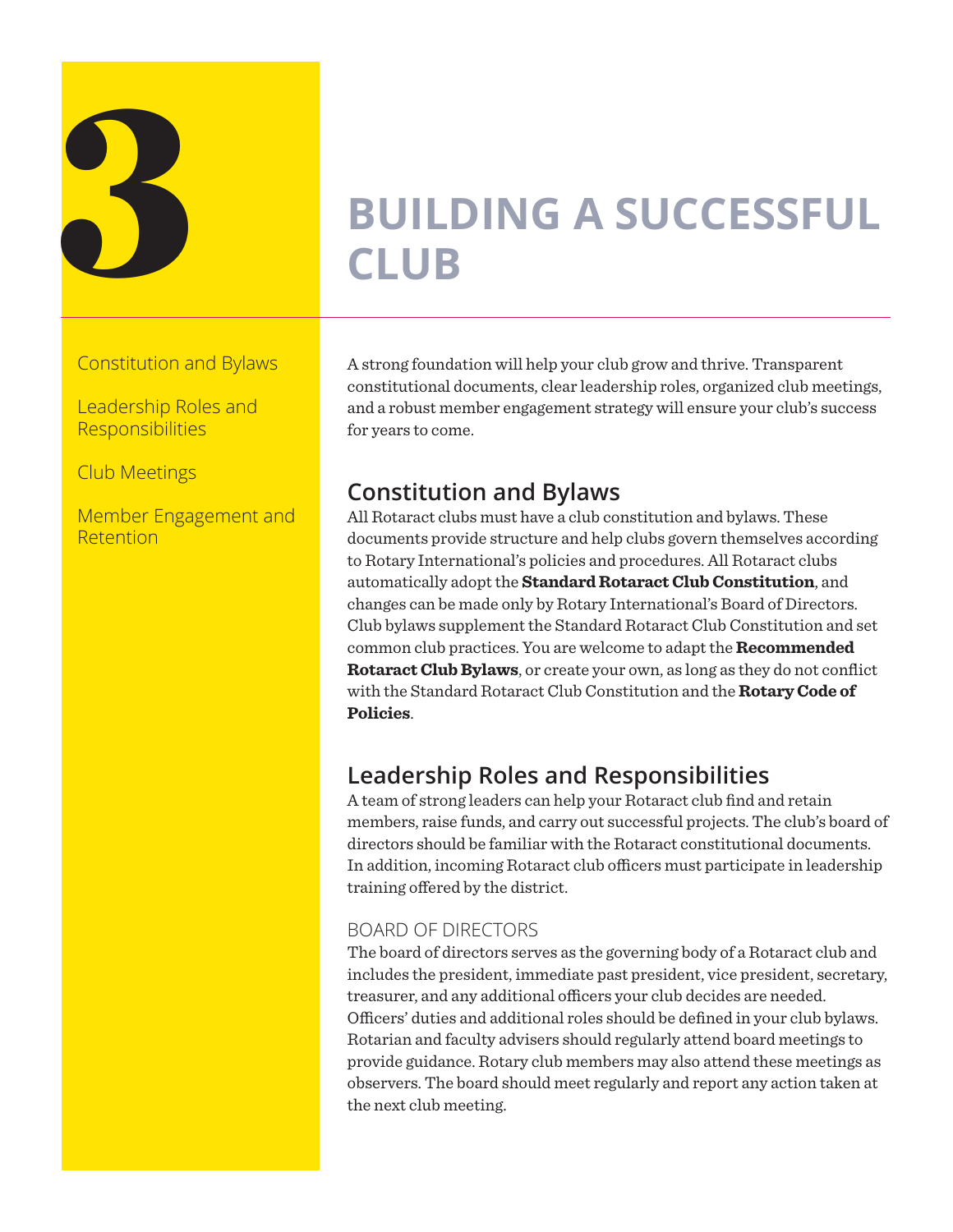

## **3**<br>BUILDING A SUCCESSFUL<br>CLUB **CLUB**

Constitution and Bylaws

Leadership Roles and **Responsibilities** 

Club Meetings

Member Engagement and Retention

A strong foundation will help your club grow and thrive. Transparent constitutional documents, clear leadership roles, organized club meetings, and a robust member engagement strategy will ensure your club's success for years to come.

### **Constitution and Bylaws**

All Rotaract clubs must have a club constitution and bylaws. These documents provide structure and help clubs govern themselves according to Rotary International's policies and procedures. All Rotaract clubs automatically adopt the **[Standard Rotaract Club Constitution](https://my.rotary.org/en/document/standard-rotaract-club-constitution)**, and changes can be made only by Rotary International's Board of Directors. Club bylaws supplement the Standard Rotaract Club Constitution and set common club practices. You are welcome to adapt the **[Recommended](https://my.rotary.org/en/document/recommended-rotaract-club-bylaws)  [Rotaract Club Bylaws](https://my.rotary.org/en/document/recommended-rotaract-club-bylaws)**, or create your own, as long as they do not conflict with the Standard Rotaract Club Constitution and the **[Rotary Code of](https://www.rotary.org/myrotary/en/document/622)  [Policies](https://www.rotary.org/myrotary/en/document/622)**.

### **Leadership Roles and Responsibilities**

A team of strong leaders can help your Rotaract club find and retain members, raise funds, and carry out successful projects. The club's board of directors should be familiar with the Rotaract constitutional documents. In addition, incoming Rotaract club officers must participate in leadership training offered by the district.

### BOARD OF DIRECTORS

The board of directors serves as the governing body of a Rotaract club and includes the president, immediate past president, vice president, secretary, treasurer, and any additional officers your club decides are needed. Officers' duties and additional roles should be defined in your club bylaws. Rotarian and faculty advisers should regularly attend board meetings to provide guidance. Rotary club members may also attend these meetings as observers. The board should meet regularly and report any action taken at the next club meeting.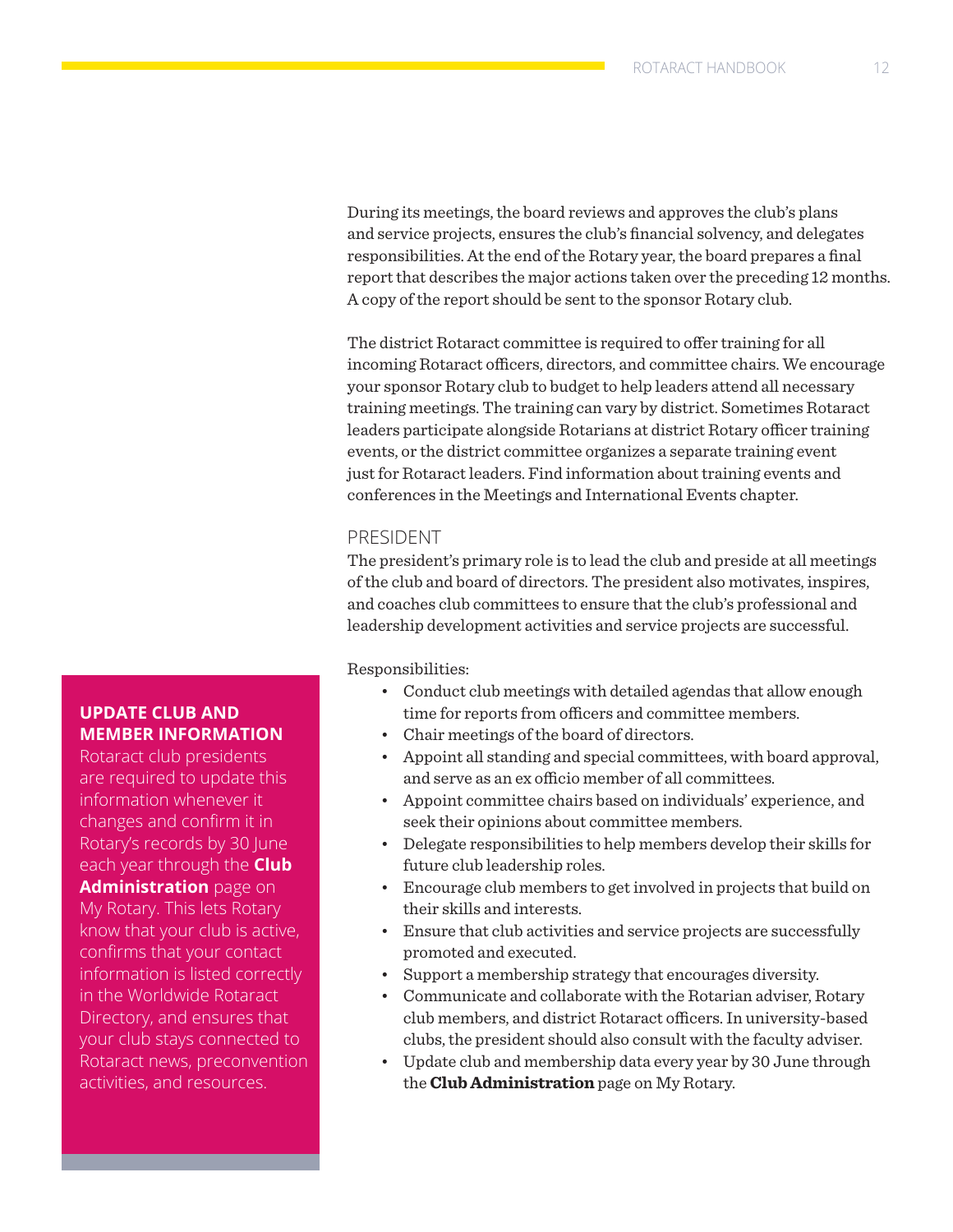During its meetings, the board reviews and approves the club's plans and service projects, ensures the club's financial solvency, and delegates responsibilities. At the end of the Rotary year, the board prepares a final report that describes the major actions taken over the preceding 12 months. A copy of the report should be sent to the sponsor Rotary club.

The district Rotaract committee is required to offer training for all incoming Rotaract officers, directors, and committee chairs. We encourage your sponsor Rotary club to budget to help leaders attend all necessary training meetings. The training can vary by district. Sometimes Rotaract leaders participate alongside Rotarians at district Rotary officer training events, or the district committee organizes a separate training event just for Rotaract leaders. Find information about training events and conferences in the Meetings and International Events chapter.

### PRESIDENT

The president's primary role is to lead the club and preside at all meetings of the club and board of directors. The president also motivates, inspires, and coaches club committees to ensure that the club's professional and leadership development activities and service projects are successful.

Responsibilities:

- Conduct club meetings with detailed agendas that allow enough time for reports from officers and committee members.
- Chair meetings of the board of directors.
- Appoint all standing and special committees, with board approval, and serve as an ex officio member of all committees.
- Appoint committee chairs based on individuals' experience, and seek their opinions about committee members.
- Delegate responsibilities to help members develop their skills for future club leadership roles.
- Encourage club members to get involved in projects that build on their skills and interests.
- Ensure that club activities and service projects are successfully promoted and executed.
- Support a membership strategy that encourages diversity.
- Communicate and collaborate with the Rotarian adviser, Rotary club members, and district Rotaract officers. In university-based clubs, the president should also consult with the faculty adviser.
- Update club and membership data every year by 30 June through the **[Club Administration](https://my.rotary.org/en/manage/club-district-administration/club-administration)** page on My Rotary.

### **UPDATE CLUB AND MEMBER INFORMATION**

Rotaract club presidents are required to update this information whenever it changes and confirm it in Rotary's records by 30 June each year through the **[Club](https://my.rotary.org/en/manage/club-district-administration/club-administration)  [Administration](https://my.rotary.org/en/manage/club-district-administration/club-administration)** page on My Rotary. This lets Rotary know that your club is active, confirms that your contact information is listed correctly in the Worldwide Rotaract Directory, and ensures that your club stays connected to Rotaract news, preconvention activities, and resources.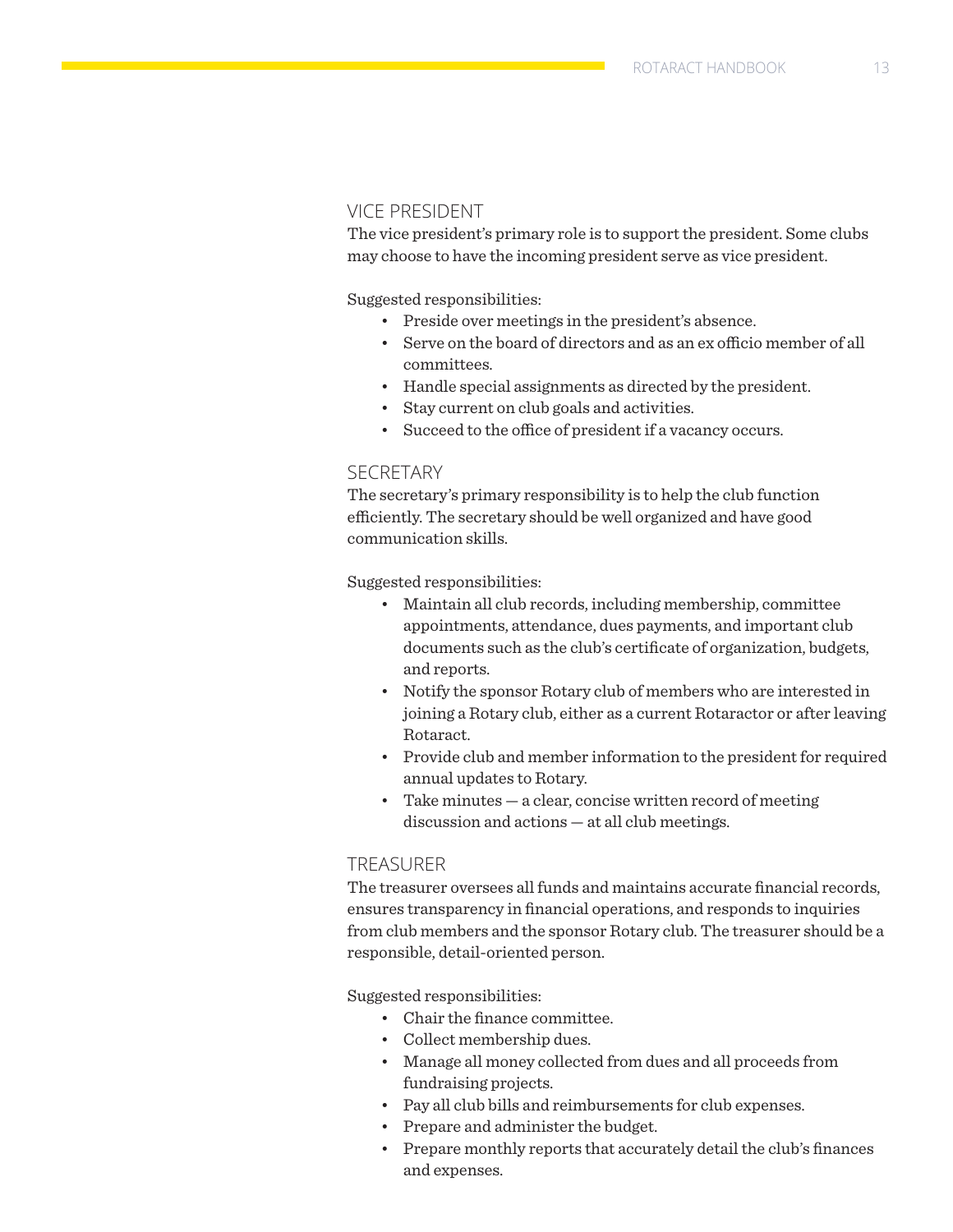### VICE PRESIDENT

The vice president's primary role is to support the president. Some clubs may choose to have the incoming president serve as vice president.

Suggested responsibilities:

- Preside over meetings in the president's absence.
- Serve on the board of directors and as an ex officio member of all committees.
- Handle special assignments as directed by the president.
- Stay current on club goals and activities.
- Succeed to the office of president if a vacancy occurs.

### **SECRETARY**

The secretary's primary responsibility is to help the club function efficiently. The secretary should be well organized and have good communication skills.

Suggested responsibilities:

- Maintain all club records, including membership, committee appointments, attendance, dues payments, and important club documents such as the club's certificate of organization, budgets, and reports.
- Notify the sponsor Rotary club of members who are interested in joining a Rotary club, either as a current Rotaractor or after leaving Rotaract.
- Provide club and member information to the president for required annual updates to Rotary.
- Take minutes a clear, concise written record of meeting discussion and actions — at all club meetings.

### TREASURER

The treasurer oversees all funds and maintains accurate financial records, ensures transparency in financial operations, and responds to inquiries from club members and the sponsor Rotary club. The treasurer should be a responsible, detail-oriented person.

Suggested responsibilities:

- Chair the finance committee.
- Collect membership dues.
- Manage all money collected from dues and all proceeds from fundraising projects.
- Pay all club bills and reimbursements for club expenses.
- Prepare and administer the budget.
- Prepare monthly reports that accurately detail the club's finances and expenses.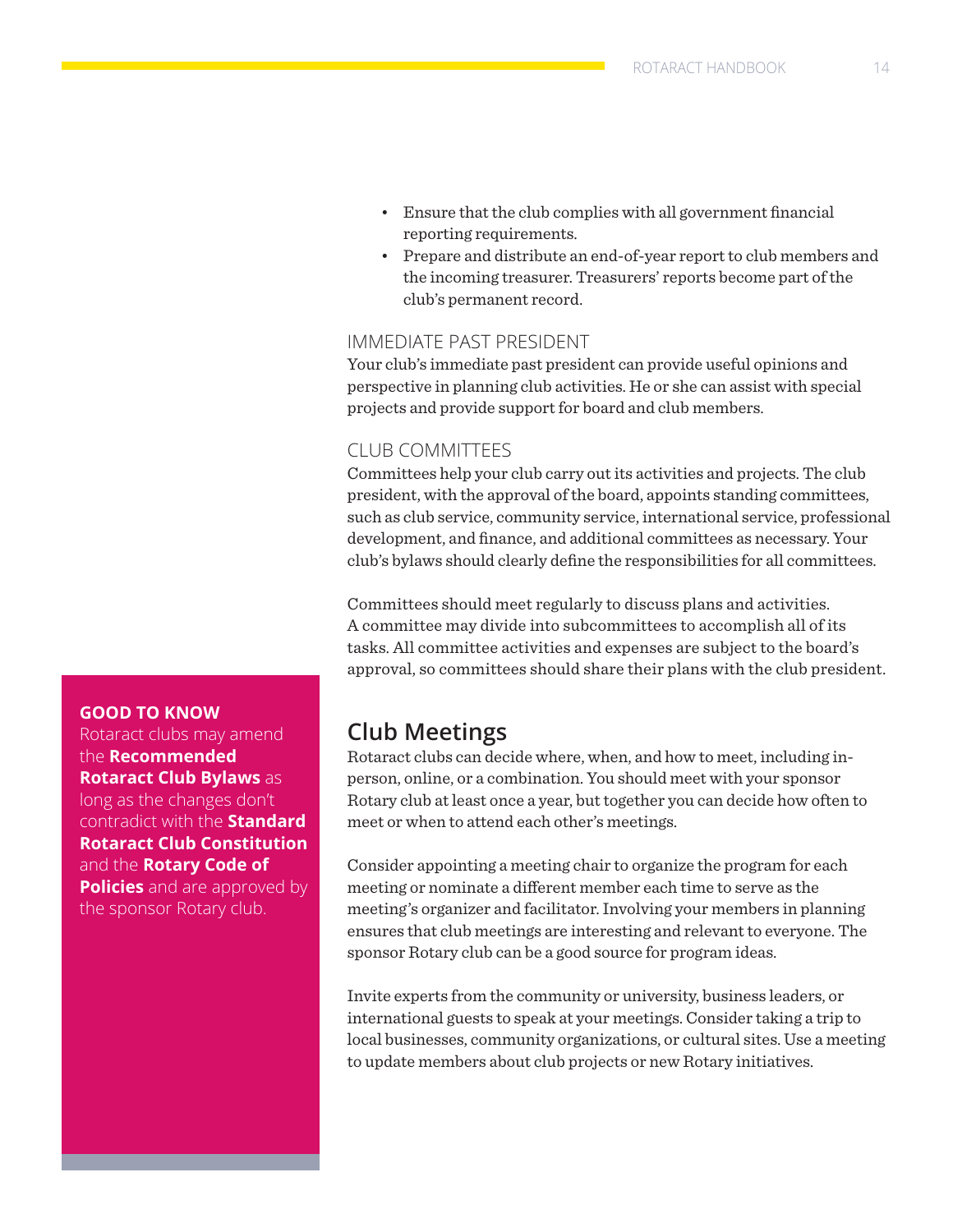- Ensure that the club complies with all government financial reporting requirements.
- Prepare and distribute an end-of-year report to club members and the incoming treasurer. Treasurers' reports become part of the club's permanent record.

### IMMEDIATE PAST PRESIDENT

Your club's immediate past president can provide useful opinions and perspective in planning club activities. He or she can assist with special projects and provide support for board and club members.

### CLUB COMMITTEES

Committees help your club carry out its activities and projects. The club president, with the approval of the board, appoints standing committees, such as club service, community service, international service, professional development, and finance, and additional committees as necessary. Your club's bylaws should clearly define the responsibilities for all committees.

Committees should meet regularly to discuss plans and activities. A committee may divide into subcommittees to accomplish all of its tasks. All committee activities and expenses are subject to the board's approval, so committees should share their plans with the club president.

### **Club Meetings**

Rotaract clubs can decide where, when, and how to meet, including inperson, online, or a combination. You should meet with your sponsor Rotary club at least once a year, but together you can decide how often to meet or when to attend each other's meetings.

Consider appointing a meeting chair to organize the program for each meeting or nominate a different member each time to serve as the meeting's organizer and facilitator. Involving your members in planning ensures that club meetings are interesting and relevant to everyone. The sponsor Rotary club can be a good source for program ideas.

Invite experts from the community or university, business leaders, or international guests to speak at your meetings. Consider taking a trip to local businesses, community organizations, or cultural sites. Use a meeting to update members about club projects or new Rotary initiatives.

### **GOOD TO KNOW**

Rotaract clubs may amend the **[Recommended](https://my.rotary.org/en/document/recommended-rotaract-club-bylaws)  [Rotaract Club Bylaws](https://my.rotary.org/en/document/recommended-rotaract-club-bylaws)** as long as the changes don't contradict with the **[Standard](https://my.rotary.org/en/document/standard-rotaract-club-constitution)  [Rotaract Club Constitution](https://my.rotary.org/en/document/standard-rotaract-club-constitution)** and the **[Rotary Code of](https://www.rotary.org/myrotary/en/document/622)  [Policies](https://www.rotary.org/myrotary/en/document/622)** and are approved by the sponsor Rotary club.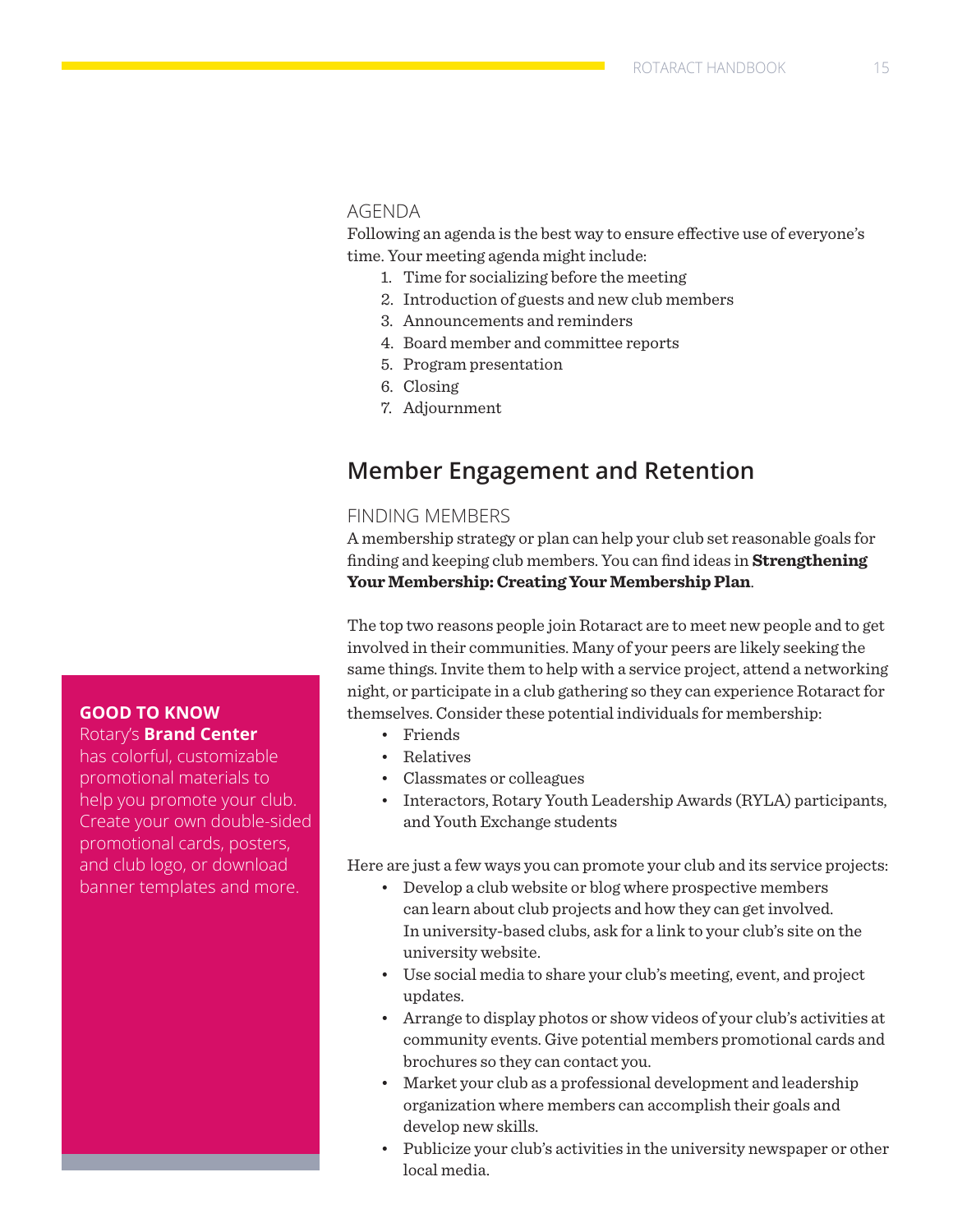### AGENDA

Following an agenda is the best way to ensure effective use of everyone's time. Your meeting agenda might include:

- 1. Time for socializing before the meeting
- 2. Introduction of guests and new club members
- 3. Announcements and reminders
- 4. Board member and committee reports
- 5. Program presentation
- 6. Closing
- 7. Adjournment

### **Member Engagement and Retention**

### FINDING MEMBERS

A membership strategy or plan can help your club set reasonable goals for finding and keeping club members. You can find ideas in **[Strengthening](https://my.rotary.org/en/document/strengthening-your-membership-creating-your-membership-plan)  [Your Membership: Creating Your Membership Plan](https://my.rotary.org/en/document/strengthening-your-membership-creating-your-membership-plan)**.

The top two reasons people join Rotaract are to meet new people and to get involved in their communities. Many of your peers are likely seeking the same things. Invite them to help with a service project, attend a networking night, or participate in a club gathering so they can experience Rotaract for themselves. Consider these potential individuals for membership:

- Friends
- Relatives
- Classmates or colleagues
- Interactors, Rotary Youth Leadership Awards (RYLA) participants, and Youth Exchange students

Here are just a few ways you can promote your club and its service projects:

- Develop a club website or blog where prospective members can learn about club projects and how they can get involved. In university-based clubs, ask for a link to your club's site on the university website.
- Use social media to share your club's meeting, event, and project updates.
- Arrange to display photos or show videos of your club's activities at community events. Give potential members promotional cards and brochures so they can contact you.
- Market your club as a professional development and leadership organization where members can accomplish their goals and develop new skills.
- Publicize your club's activities in the university newspaper or other local media.

### **GOOD TO KNOW**  Rotary's **[Brand Center](https://my.rotary.org/en/secure/application/136)**

has colorful, customizable promotional materials to help you promote your club. Create your own double-sided promotional cards, posters, and club logo, or download banner templates and more.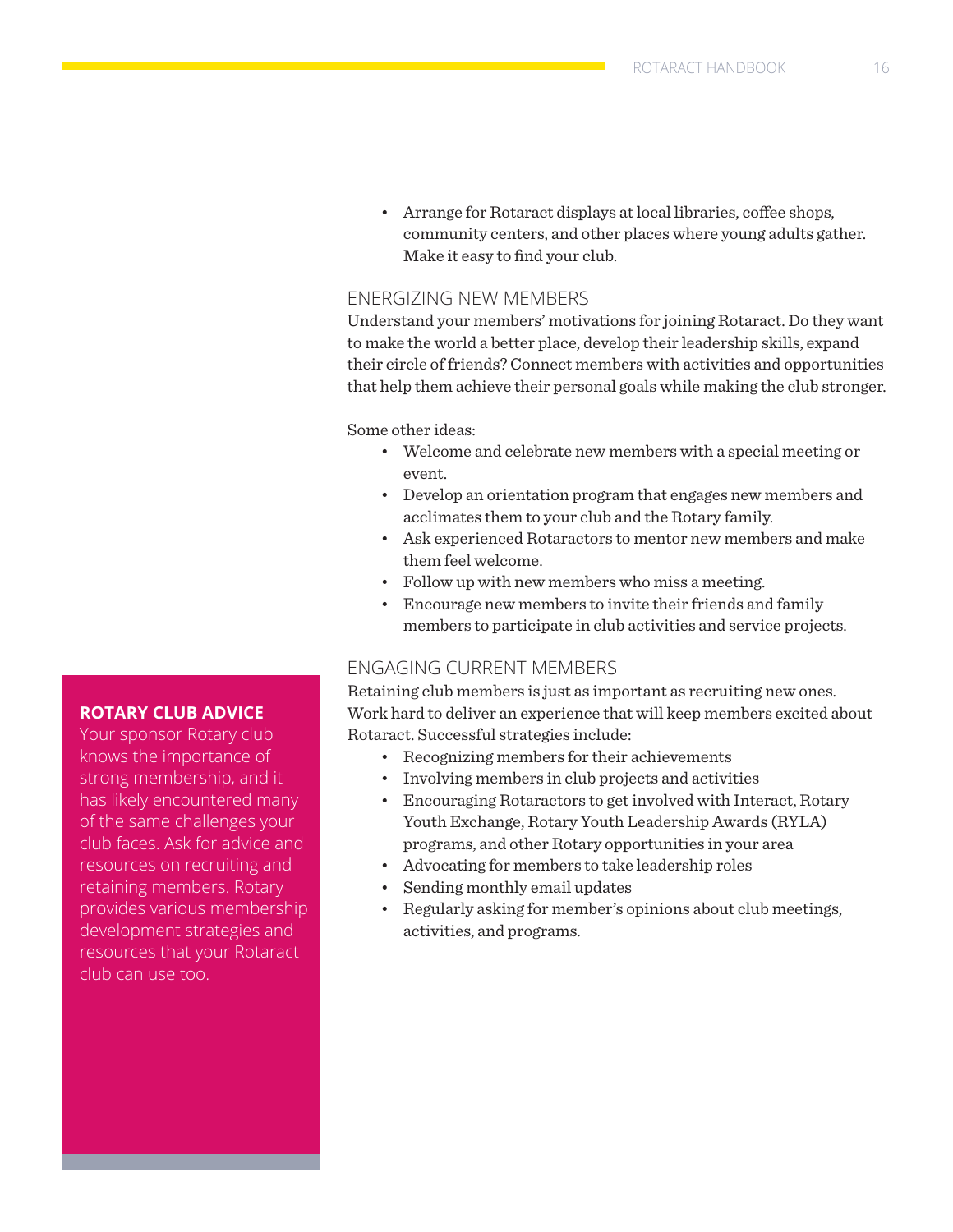• Arrange for Rotaract displays at local libraries, coffee shops, community centers, and other places where young adults gather. Make it easy to find your club.

### ENERGIZING NEW MEMBERS

Understand your members' motivations for joining Rotaract. Do they want to make the world a better place, develop their leadership skills, expand their circle of friends? Connect members with activities and opportunities that help them achieve their personal goals while making the club stronger.

Some other ideas:

- Welcome and celebrate new members with a special meeting or event.
- Develop an orientation program that engages new members and acclimates them to your club and the Rotary family.
- Ask experienced Rotaractors to mentor new members and make them feel welcome.
- Follow up with new members who miss a meeting.
- Encourage new members to invite their friends and family members to participate in club activities and service projects.

### ENGAGING CURRENT MEMBERS

Retaining club members is just as important as recruiting new ones. Work hard to deliver an experience that will keep members excited about Rotaract. Successful strategies include:

- Recognizing members for their achievements
- Involving members in club projects and activities
- Encouraging Rotaractors to get involved with Interact, Rotary Youth Exchange, Rotary Youth Leadership Awards (RYLA) programs, and other Rotary opportunities in your area
- Advocating for members to take leadership roles
- Sending monthly email updates
- Regularly asking for member's opinions about club meetings, activities, and programs.

### **ROTARY CLUB ADVICE**

Your sponsor Rotary club knows the importance of strong membership, and it has likely encountered many of the same challenges your club faces. Ask for advice and resources on recruiting and retaining members. Rotary provides various membership development strategies and resources that your Rotaract club can use too.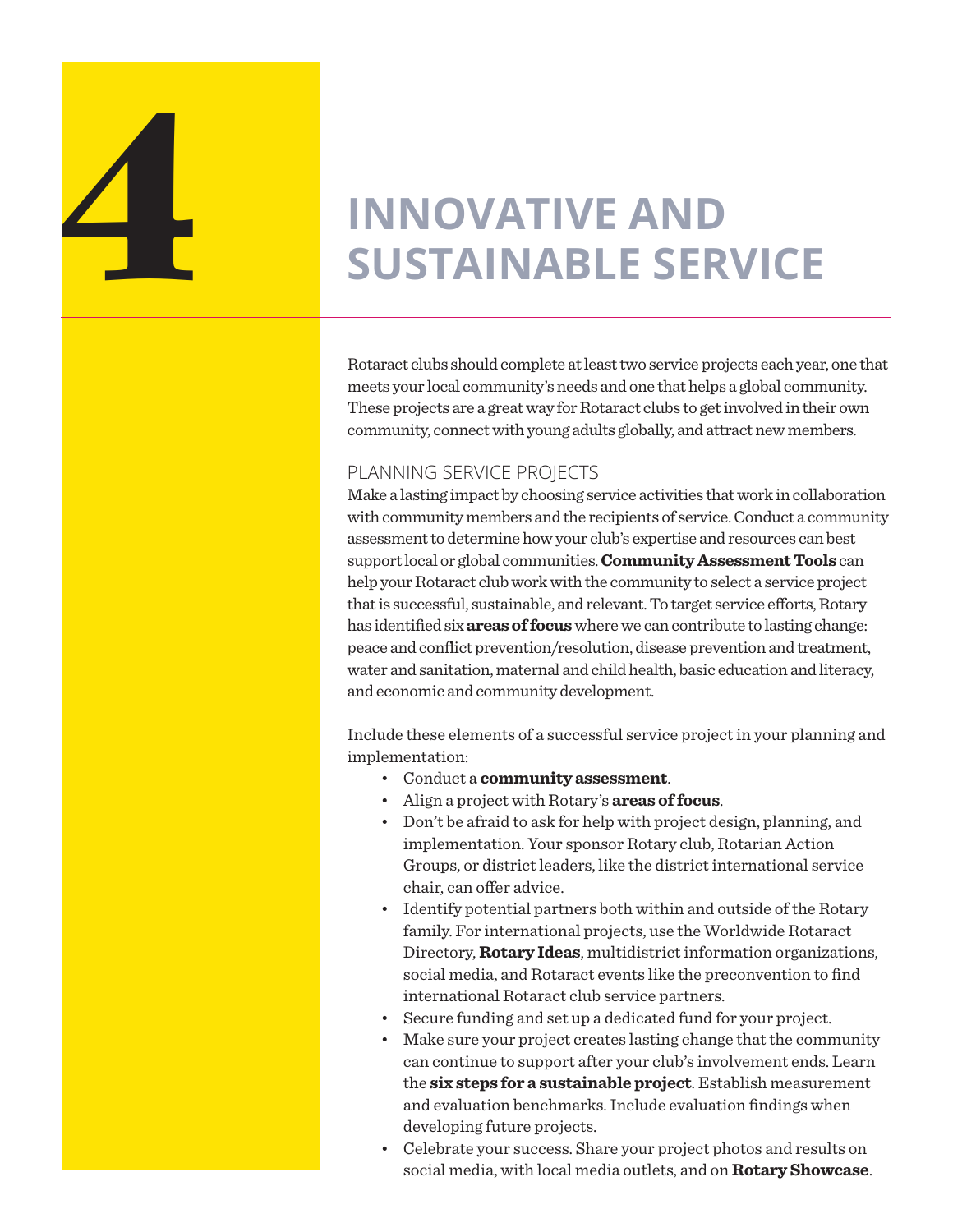

# **INNOVATIVE AND SUSTAINABLE SERVICE**

Rotaract clubs should complete at least two service projects each year, one that meets your local community's needs and one that helps a global community. These projects are a great way for Rotaract clubs to get involved in their own community, connect with young adults globally, and attract new members.

### PLANNING SERVICE PROJECTS

Make a lasting impact by choosing service activities that work in collaboration with community members and the recipients of service. Conduct a community assessment to determine how your club's expertise and resources can best support local or global communities. **[Community Assessment Tools](https://my.rotary.org/en/document/community-assessment-tools)** can help your Rotaract club work with the community to select a service project that is successful, sustainable, and relevant. To target service efforts, Rotary has identified six **[areas of focus](https://www.rotary.org/en/learning-reference/about-rotary/areas-focus)** where we can contribute to lasting change: peace and conflict prevention/resolution, disease prevention and treatment, water and sanitation, maternal and child health, basic education and literacy, and economic and community development.

Include these elements of a successful service project in your planning and implementation:

- Conduct a **[community assessment](https://my.rotary.org/en/document/community-assessment-tools)**.
- Align a project with Rotary's **[areas of focus](https://www.rotary.org/en/our-causes)**.
- Don't be afraid to ask for help with project design, planning, and implementation. Your sponsor Rotary club, Rotarian Action Groups, or district leaders, like the district international service chair, can offer advice.
- Identify potential partners both within and outside of the Rotary family. For international projects, use the Worldwide Rotaract Directory, **[Rotary Ideas](http://ideas.rotary.org/)**, multidistrict information organizations, social media, and Rotaract events like the preconvention to find international Rotaract club service partners.
- Secure funding and set up a dedicated fund for your project.
- Make sure your project creates lasting change that the community can continue to support after your club's involvement ends. Learn the **[six steps for a sustainable project](https://my.rotary.org/en/document/six-steps-sustainability)**. Establish measurement and evaluation benchmarks. Include evaluation findings when developing future projects.
- Celebrate your success. Share your project photos and results on social media, with local media outlets, and on **[Rotary Showcase](https://my.rotary.org/en/secure/showcase)**.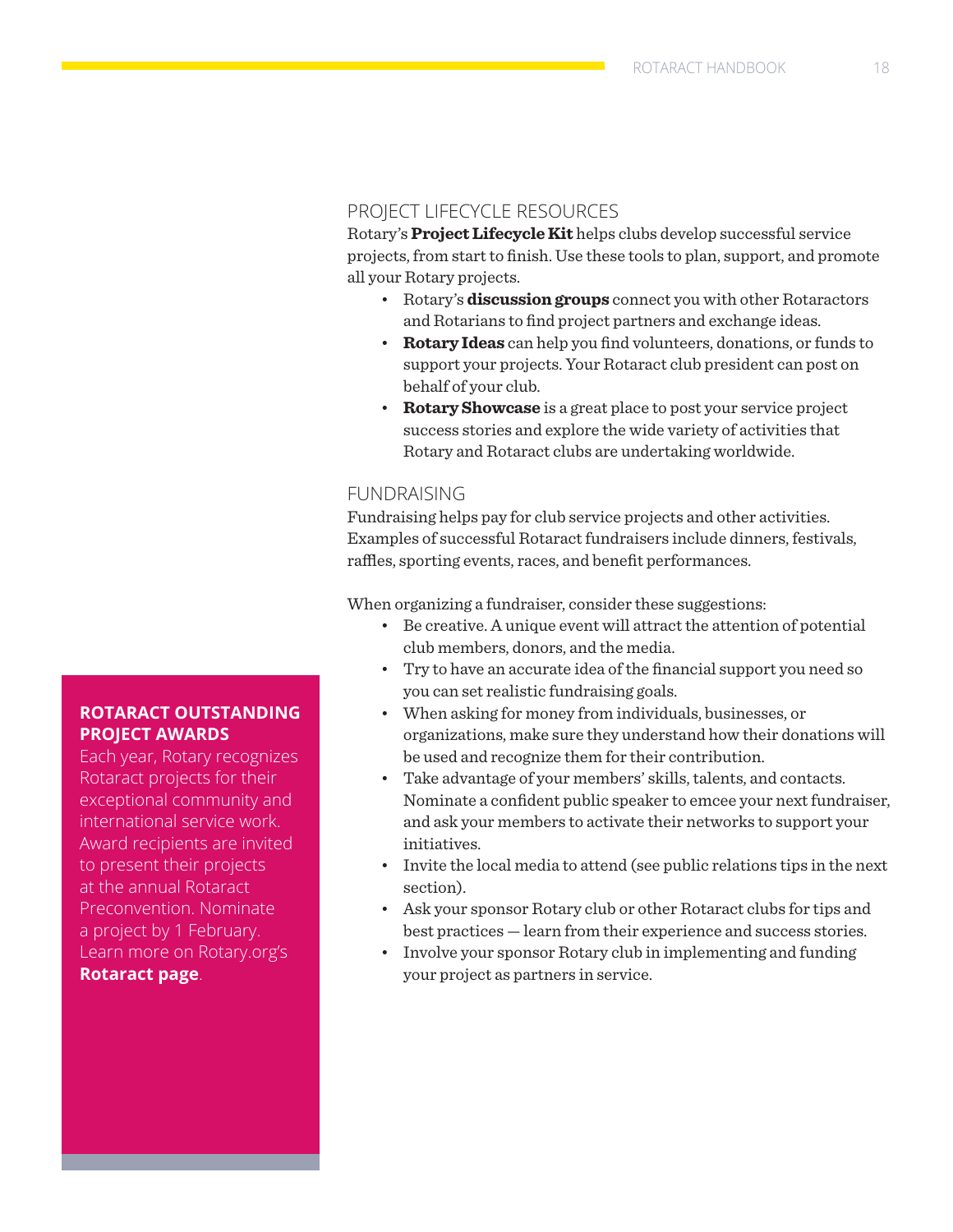### PROJECT LIFECYCLE RESOURCES

Rotary's **[Project Lifecycle Kit](https://my.rotary.org/en/document/project-lifecycle-kit)** helps clubs develop successful service projects, from start to finish. Use these tools to plan, support, and promote all your Rotary projects.

- Rotary's **[discussion groups](https://my.rotary.org/en/exchange-ideas/groups)** connect you with other Rotaractors and Rotarians to find project partners and exchange ideas.
- **[Rotary Ideas](http://ideas.rotary.org/)** can help you find volunteers, donations, or funds to support your projects. Your Rotaract club president can post on behalf of your club.
- **[Rotary Showcase](https://map.rotary.org/en/project/pages/project_showcase.aspx)** is a great place to post your service project success stories and explore the wide variety of activities that Rotary and Rotaract clubs are undertaking worldwide.

### FUNDRAISING

Fundraising helps pay for club service projects and other activities. Examples of successful Rotaract fundraisers include dinners, festivals, raffles, sporting events, races, and benefit performances.

When organizing a fundraiser, consider these suggestions:

- Be creative. A unique event will attract the attention of potential club members, donors, and the media.
- Try to have an accurate idea of the financial support you need so you can set realistic fundraising goals.
- When asking for money from individuals, businesses, or organizations, make sure they understand how their donations will be used and recognize them for their contribution.
- Take advantage of your members' skills, talents, and contacts. Nominate a confident public speaker to emcee your next fundraiser, and ask your members to activate their networks to support your initiatives.
- Invite the local media to attend (see public relations tips in the next section).
- Ask your sponsor Rotary club or other Rotaract clubs for tips and best practices — learn from their experience and success stories.
- Involve your sponsor Rotary club in implementing and funding your project as partners in service.

### **ROTARACT OUTSTANDING PROJECT AWARDS**

Each year, Rotary recognizes Rotaract projects for their exceptional community and international service work. Award recipients are invited to present their projects at the annual Rotaract Preconvention. Nominate a project by 1 February. Learn more on Rotary.org's **[Rotaract page](https://www.rotary.org/en/get-involved/rotaract-clubs)**.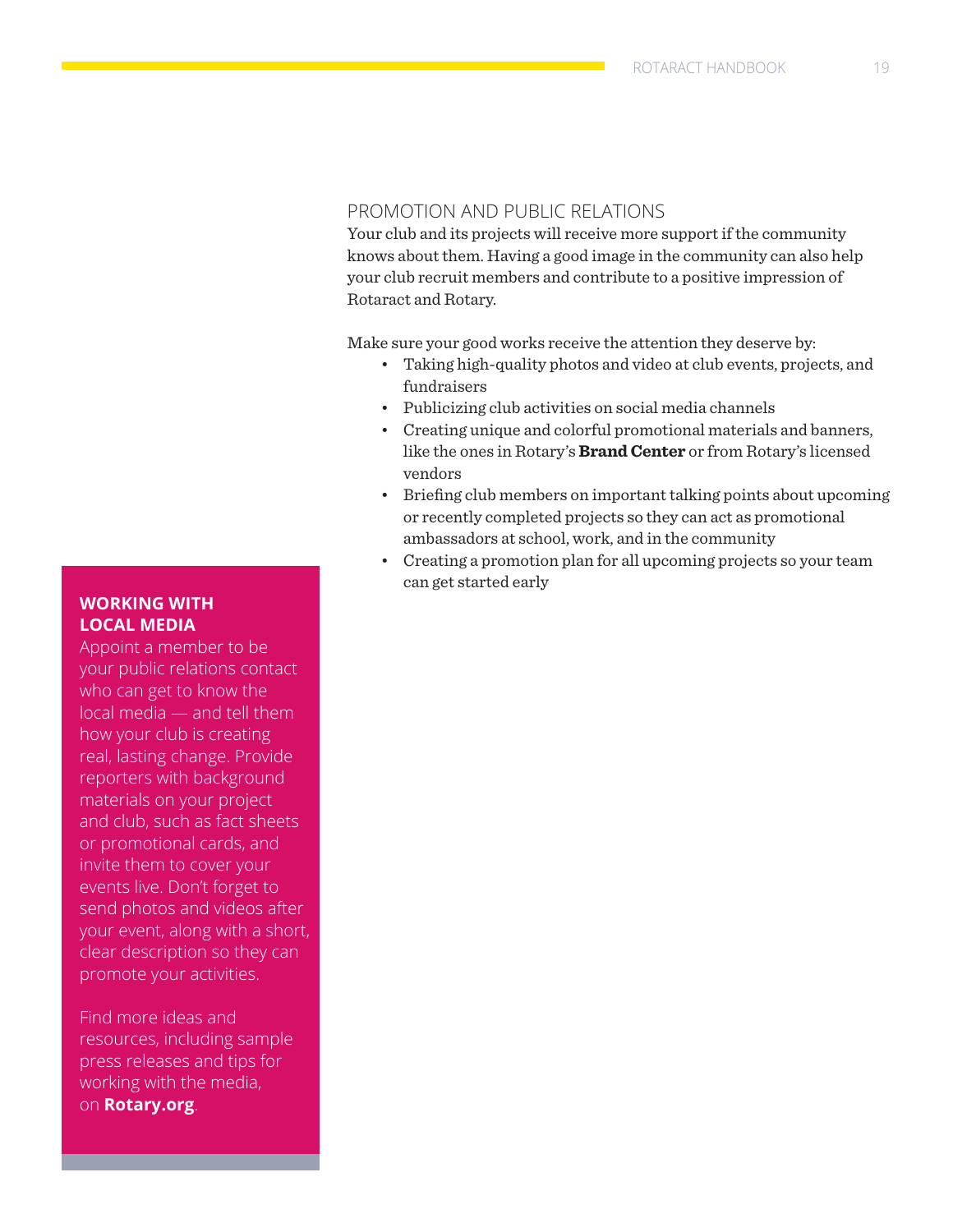### PROMOTION AND PUBLIC RELATIONS

Your club and its projects will receive more support if the community knows about them. Having a good image in the community can also help your club recruit members and contribute to a positive impression of Rotaract and Rotary.

Make sure your good works receive the attention they deserve by:

- Taking high-quality photos and video at club events, projects, and fundraisers
- Publicizing club activities on social media channels
- Creating unique and colorful promotional materials and banners, like the ones in Rotary's **[Brand Center](https://my.rotary.org/en/secure/101736)** or from Rotary's licensed vendors
- Briefing club members on important talking points about upcoming or recently completed projects so they can act as promotional ambassadors at school, work, and in the community
- Creating a promotion plan for all upcoming projects so your team can get started early

### **WORKING WITH LOCAL MEDIA**

Appoint a member to be your public relations contact who can get to know the local media — and tell them how your club is creating real, lasting change. Provide reporters with background materials on your project and club, such as fact sheets or promotional cards, and invite them to cover your events live. Don't forget to send photos and videos after your event, along with a short, clear description so they can promote your activities.

Find more ideas and resources, including sample press releases and tips for working with the media, on **[Rotary.org](http://www.rotary.org)**.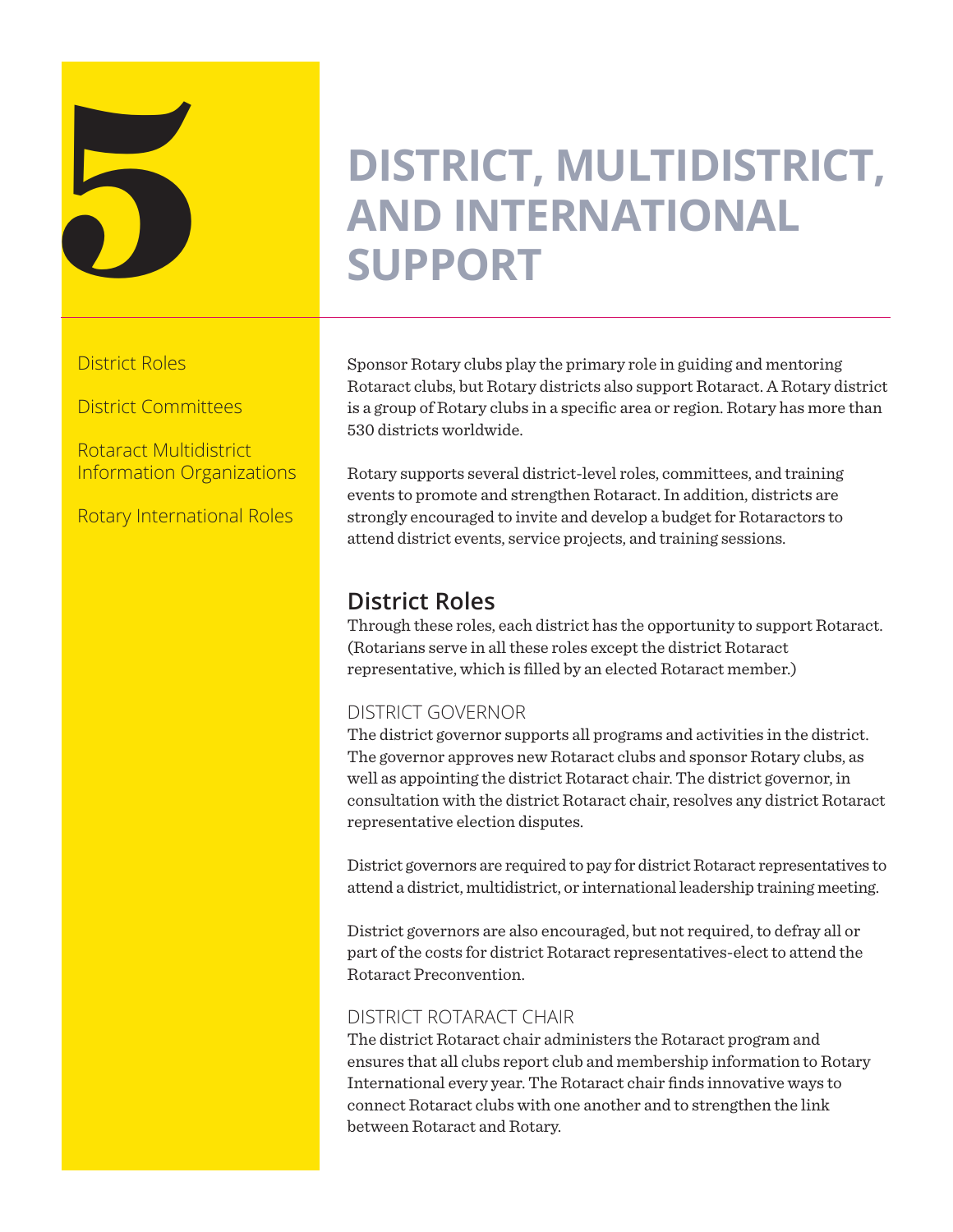

### **DISTRICT, MULTIDISTRICT,<br>AND INTERNATIONAL SUPPORT AND INTERNATIONAL SUPPORT**

District Roles

District Committees

Rotaract Multidistrict Information Organizations

Rotary International Roles

Sponsor Rotary clubs play the primary role in guiding and mentoring Rotaract clubs, but Rotary districts also support Rotaract. A Rotary district is a group of Rotary clubs in a specific area or region. Rotary has more than 530 districts worldwide.

Rotary supports several district-level roles, committees, and training events to promote and strengthen Rotaract. In addition, districts are strongly encouraged to invite and develop a budget for Rotaractors to attend district events, service projects, and training sessions.

### **District Roles**

Through these roles, each district has the opportunity to support Rotaract. (Rotarians serve in all these roles except the district Rotaract representative, which is filled by an elected Rotaract member.)

### DISTRICT GOVERNOR

The district governor supports all programs and activities in the district. The governor approves new Rotaract clubs and sponsor Rotary clubs, as well as appointing the district Rotaract chair. The district governor, in consultation with the district Rotaract chair, resolves any district Rotaract representative election disputes.

District governors are required to pay for district Rotaract representatives to attend a district, multidistrict, or international leadership training meeting.

District governors are also encouraged, but not required, to defray all or part of the costs for district Rotaract representatives-elect to attend the Rotaract Preconvention.

### DISTRICT ROTARACT CHAIR

The district Rotaract chair administers the Rotaract program and ensures that all clubs report club and membership information to Rotary International every year. The Rotaract chair finds innovative ways to connect Rotaract clubs with one another and to strengthen the link between Rotaract and Rotary.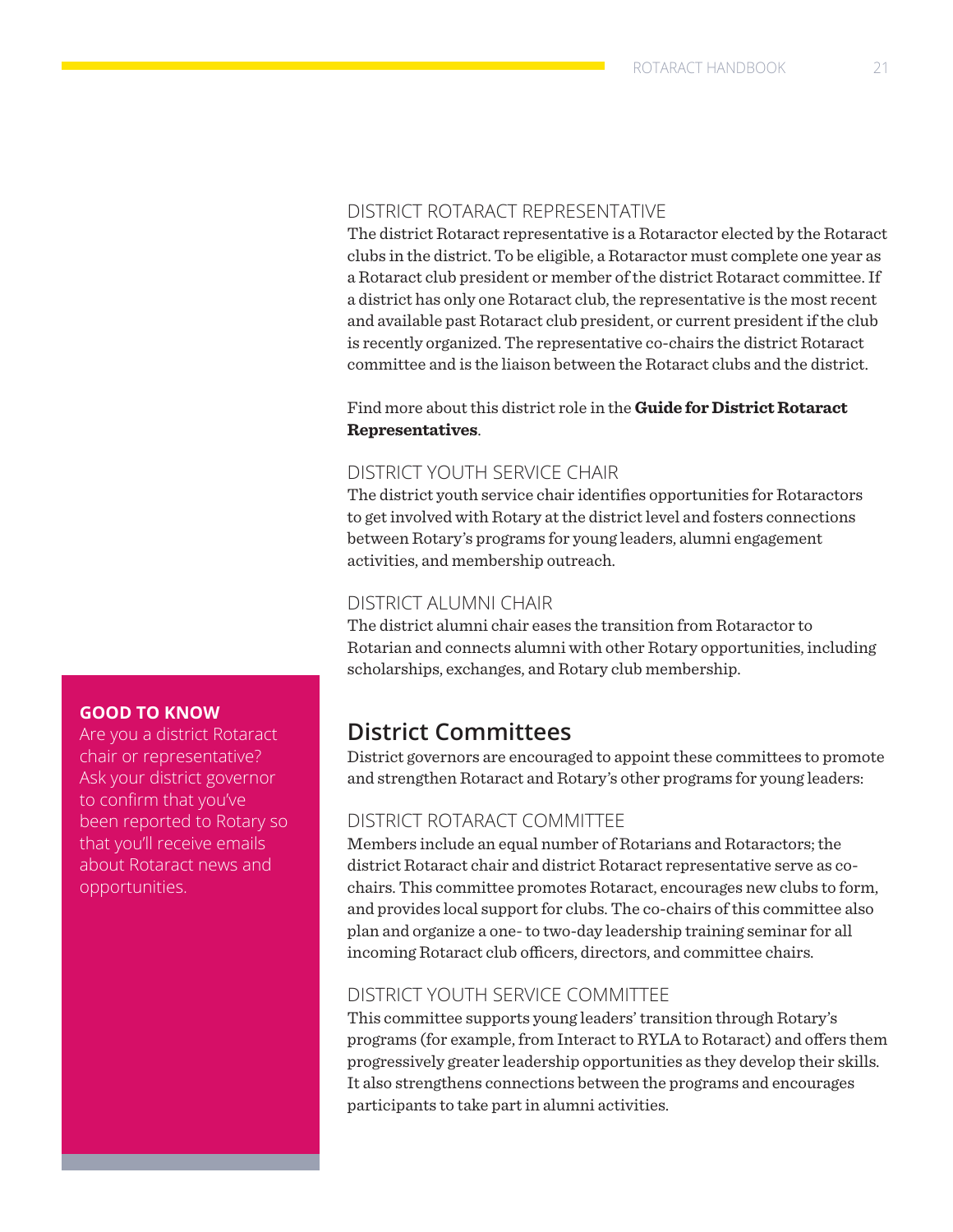### DISTRICT ROTARACT REPRESENTATIVE

The district Rotaract representative is a Rotaractor elected by the Rotaract clubs in the district. To be eligible, a Rotaractor must complete one year as a Rotaract club president or member of the district Rotaract committee. If a district has only one Rotaract club, the representative is the most recent and available past Rotaract club president, or current president if the club is recently organized. The representative co-chairs the district Rotaract committee and is the liaison between the Rotaract clubs and the district.

Find more about this district role in the **[Guide for District Rotaract](https://my.rotary.org/en/document/guide-district-rotaract-representatives)  [Representatives](https://my.rotary.org/en/document/guide-district-rotaract-representatives)**.

### DISTRICT YOUTH SERVICE CHAIR

The district youth service chair identifies opportunities for Rotaractors to get involved with Rotary at the district level and fosters connections between Rotary's programs for young leaders, alumni engagement activities, and membership outreach.

### DISTRICT ALUMNI CHAIR

The district alumni chair eases the transition from Rotaractor to Rotarian and connects alumni with other Rotary opportunities, including scholarships, exchanges, and Rotary club membership.

### **District Committees**

District governors are encouraged to appoint these committees to promote and strengthen Rotaract and Rotary's other programs for young leaders:

### DISTRICT ROTARACT COMMITTEE

Members include an equal number of Rotarians and Rotaractors; the district Rotaract chair and district Rotaract representative serve as cochairs. This committee promotes Rotaract, encourages new clubs to form, and provides local support for clubs. The co-chairs of this committee also plan and organize a one- to two-day leadership training seminar for all incoming Rotaract club officers, directors, and committee chairs.

### DISTRICT YOUTH SERVICE COMMITTEE

This committee supports young leaders' transition through Rotary's programs (for example, from Interact to RYLA to Rotaract) and offers them progressively greater leadership opportunities as they develop their skills. It also strengthens connections between the programs and encourages participants to take part in alumni activities.

### **GOOD TO KNOW**

Are you a district Rotaract chair or representative? Ask your district governor to confirm that you've been reported to Rotary so that you'll receive emails about Rotaract news and opportunities.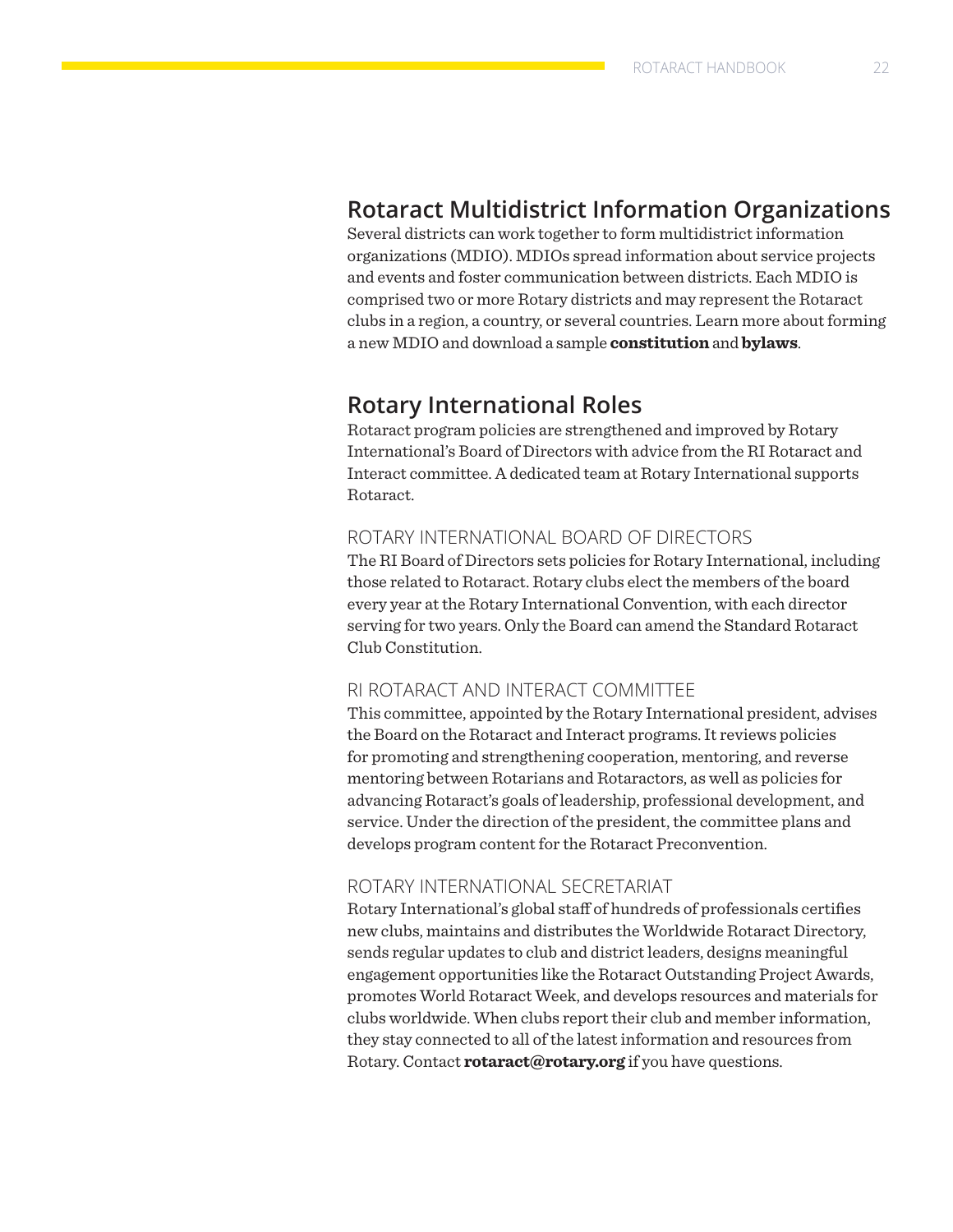### **Rotaract Multidistrict Information Organizations**

Several districts can work together to form multidistrict information organizations (MDIO). MDIOs spread information about service projects and events and foster communication between districts. Each MDIO is comprised two or more Rotary districts and may represent the Rotaract clubs in a region, a country, or several countries. Learn more about forming a new MDIO and download a sample **constitution** and **bylaws**.

### **Rotary International Roles**

Rotaract program policies are strengthened and improved by Rotary International's Board of Directors with advice from the RI Rotaract and Interact committee. A dedicated team at Rotary International supports Rotaract.

### ROTARY INTERNATIONAL BOARD OF DIRECTORS

The RI Board of Directors sets policies for Rotary International, including those related to Rotaract. Rotary clubs elect the members of the board every year at the Rotary International Convention, with each director serving for two years. Only the Board can amend the Standard Rotaract Club Constitution.

### RI ROTARACT AND INTERACT COMMITTEE

This committee, appointed by the Rotary International president, advises the Board on the Rotaract and Interact programs. It reviews policies for promoting and strengthening cooperation, mentoring, and reverse mentoring between Rotarians and Rotaractors, as well as policies for advancing Rotaract's goals of leadership, professional development, and service. Under the direction of the president, the committee plans and develops program content for the Rotaract Preconvention.

### ROTARY INTERNATIONAL SECRETARIAT

Rotary International's global staff of hundreds of professionals certifies new clubs, maintains and distributes the Worldwide Rotaract Directory, sends regular updates to club and district leaders, designs meaningful engagement opportunities like the Rotaract Outstanding Project Awards, promotes World Rotaract Week, and develops resources and materials for clubs worldwide. When clubs report their club and member information, they stay connected to all of the latest information and resources from Rotary. Contact **[rotaract@rotary.org](mailto:rotaract@rotary.org)** if you have questions.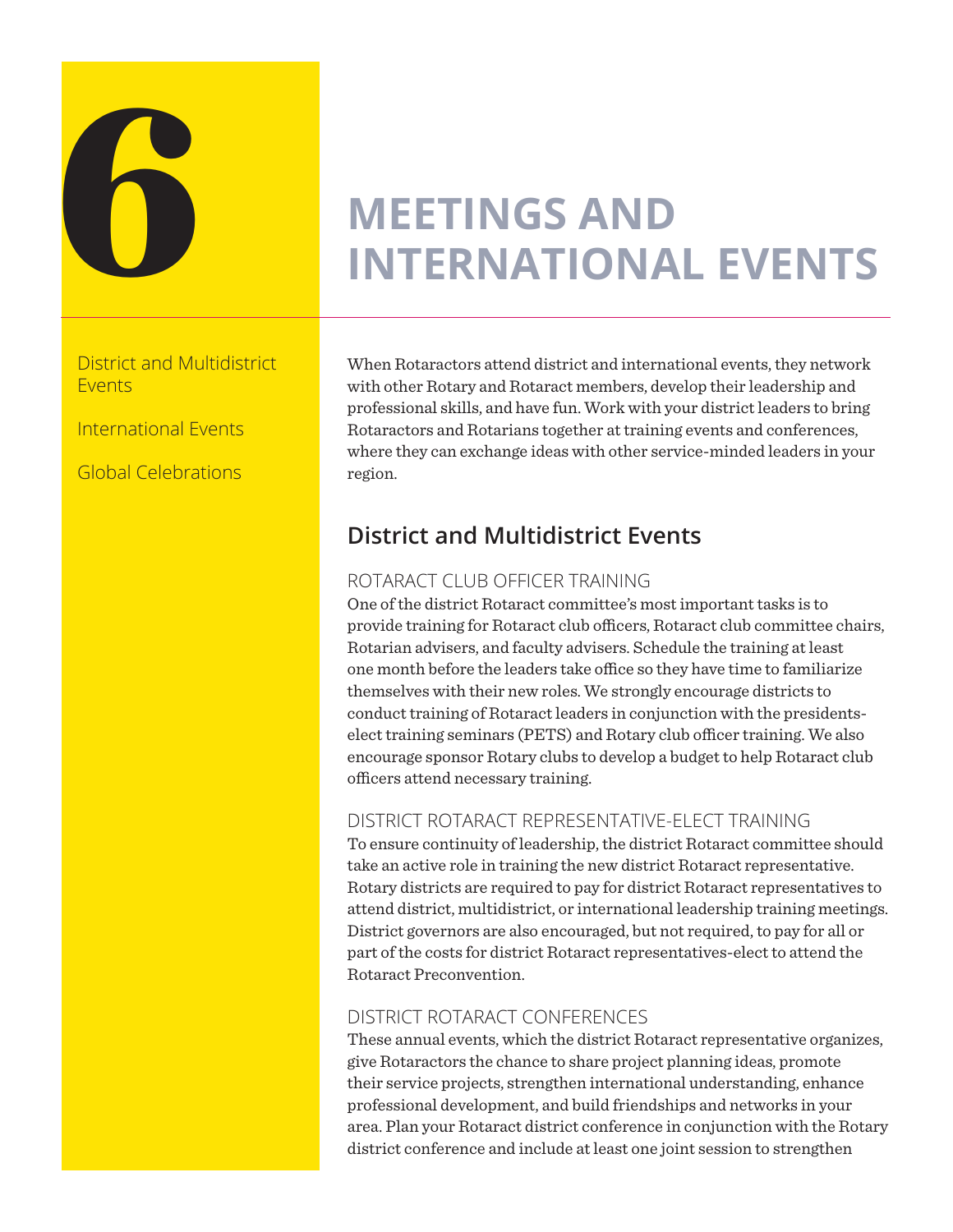

# **MEETINGS AND INTERNATIONAL EVENTS**

District and Multidistrict Events

International Events

Global Celebrations

When Rotaractors attend district and international events, they network with other Rotary and Rotaract members, develop their leadership and professional skills, and have fun. Work with your district leaders to bring Rotaractors and Rotarians together at training events and conferences, where they can exchange ideas with other service-minded leaders in your region.

### **District and Multidistrict Events**

### ROTARACT CLUB OFFICER TRAINING

One of the district Rotaract committee's most important tasks is to provide training for Rotaract club officers, Rotaract club committee chairs, Rotarian advisers, and faculty advisers. Schedule the training at least one month before the leaders take office so they have time to familiarize themselves with their new roles. We strongly encourage districts to conduct training of Rotaract leaders in conjunction with the presidentselect training seminars (PETS) and Rotary club officer training. We also encourage sponsor Rotary clubs to develop a budget to help Rotaract club officers attend necessary training.

### DISTRICT ROTARACT REPRESENTATIVE-ELECT TRAINING

To ensure continuity of leadership, the district Rotaract committee should take an active role in training the new district Rotaract representative. Rotary districts are required to pay for district Rotaract representatives to attend district, multidistrict, or international leadership training meetings. District governors are also encouraged, but not required, to pay for all or part of the costs for district Rotaract representatives-elect to attend the Rotaract Preconvention.

### DISTRICT ROTARACT CONFERENCES

These annual events, which the district Rotaract representative organizes, give Rotaractors the chance to share project planning ideas, promote their service projects, strengthen international understanding, enhance professional development, and build friendships and networks in your area. Plan your Rotaract district conference in conjunction with the Rotary district conference and include at least one joint session to strengthen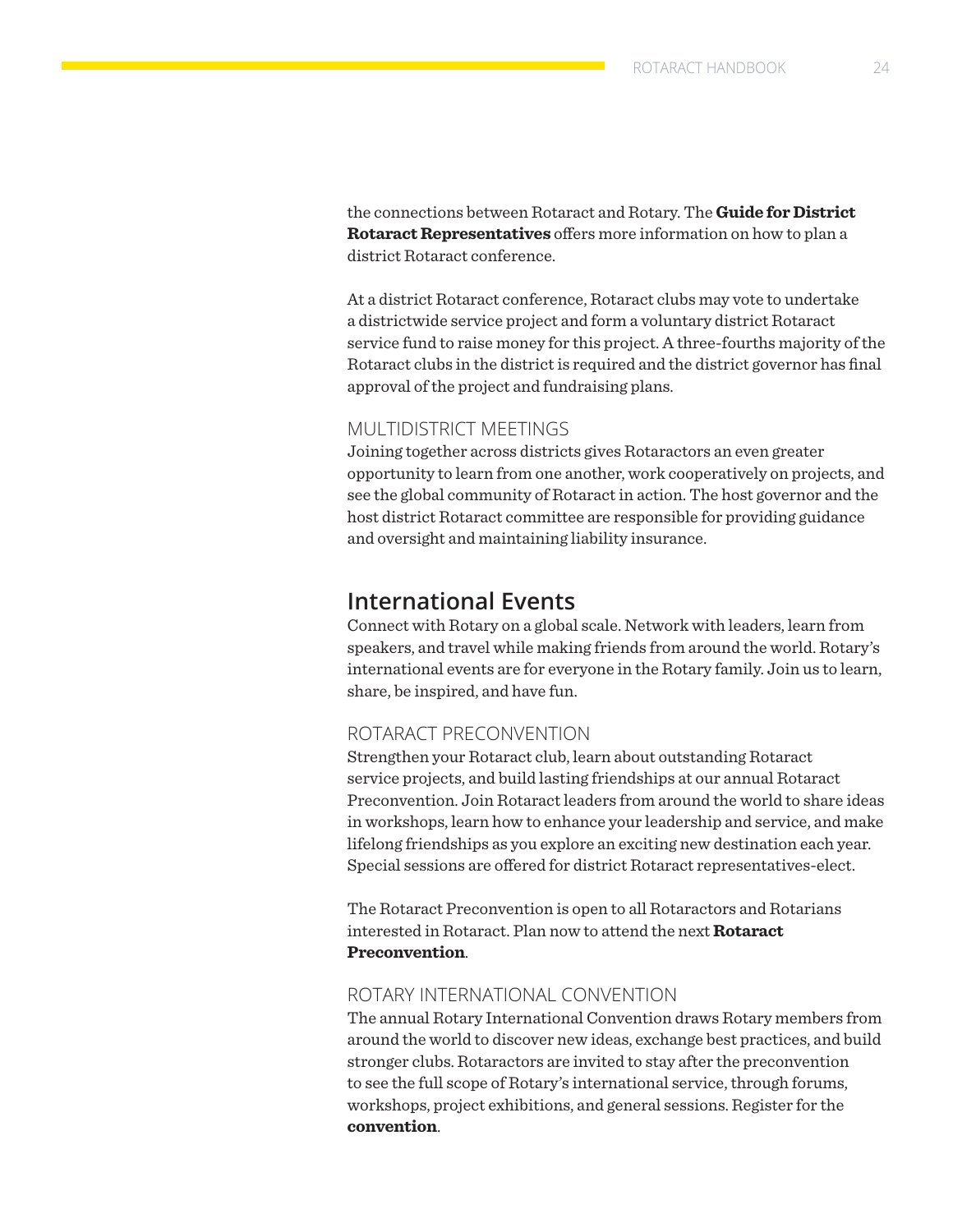the connections between Rotaract and Rotary. The **[Guide for District](https://my.rotary.org/en/document/guide-district-rotaract-representatives)  [Rotaract Representatives](https://my.rotary.org/en/document/guide-district-rotaract-representatives)** offers more information on how to plan a district Rotaract conference.

At a district Rotaract conference, Rotaract clubs may vote to undertake a districtwide service project and form a voluntary district Rotaract service fund to raise money for this project. A three-fourths majority of the Rotaract clubs in the district is required and the district governor has final approval of the project and fundraising plans.

### MULTIDISTRICT MEETINGS

Joining together across districts gives Rotaractors an even greater opportunity to learn from one another, work cooperatively on projects, and see the global community of Rotaract in action. The host governor and the host district Rotaract committee are responsible for providing guidance and oversight and maintaining liability insurance.

### **International Events**

Connect with Rotary on a global scale. Network with leaders, learn from speakers, and travel while making friends from around the world. Rotary's international events are for everyone in the Rotary family. Join us to learn, share, be inspired, and have fun.

### ROTARACT PRECONVENTION

Strengthen your Rotaract club, learn about outstanding Rotaract service projects, and build lasting friendships at our annual Rotaract Preconvention. Join Rotaract leaders from around the world to share ideas in workshops, learn how to enhance your leadership and service, and make lifelong friendships as you explore an exciting new destination each year. Special sessions are offered for district Rotaract representatives-elect.

The Rotaract Preconvention is open to all Rotaractors and Rotarians interested in Rotaract. Plan now to attend the next **[Rotaract](http://www.riconvention.org)  [Preconvention](http://www.riconvention.org)**.

### ROTARY INTERNATIONAL CONVENTION

The annual Rotary International Convention draws Rotary members from around the world to discover new ideas, exchange best practices, and build stronger clubs. Rotaractors are invited to stay after the preconvention to see the full scope of Rotary's international service, through forums, workshops, project exhibitions, and general sessions. Register for the **[convention](http://www.riconvention.org/en)**.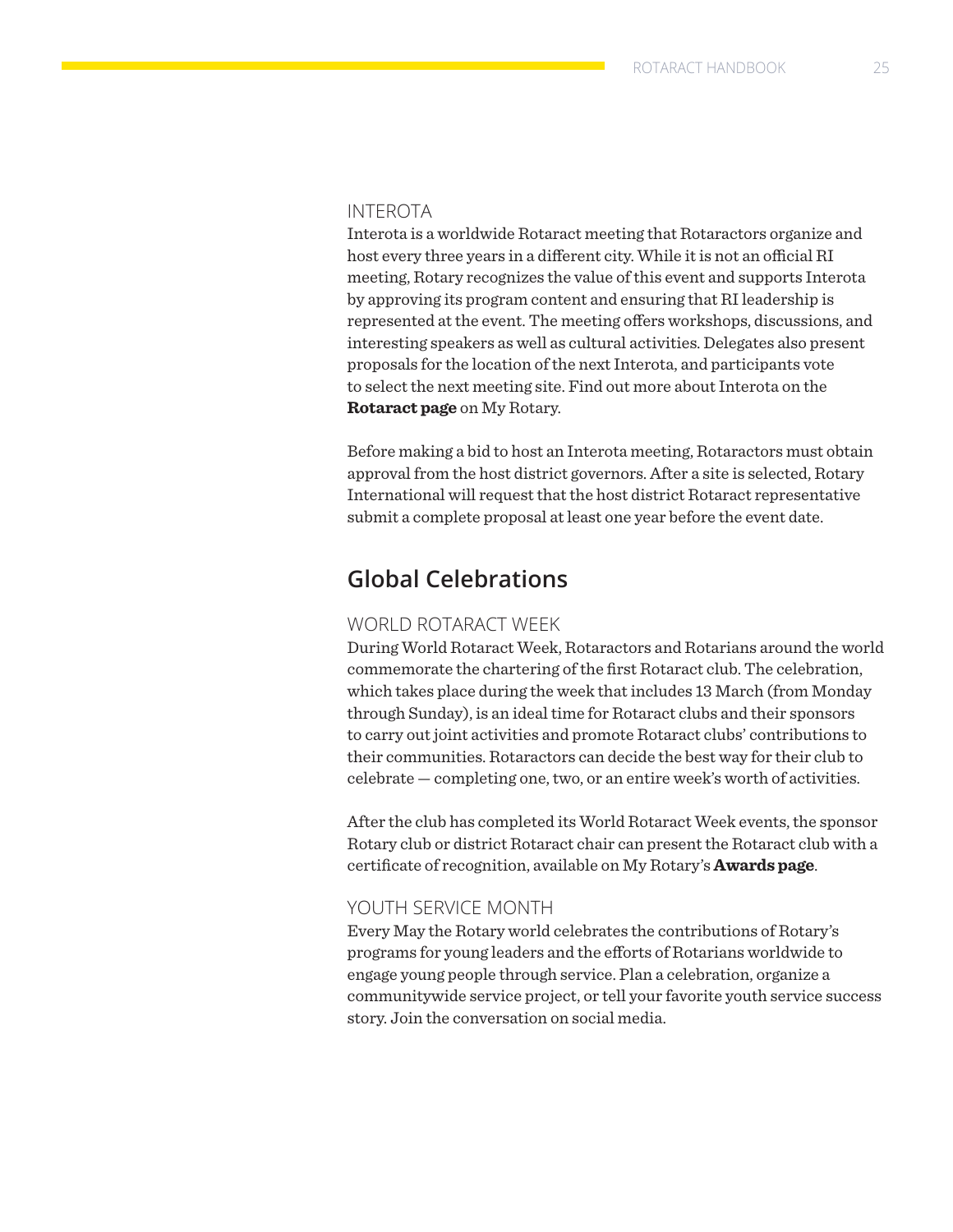### INTEROTA

Interota is a worldwide Rotaract meeting that Rotaractors organize and host every three years in a different city. While it is not an official RI meeting, Rotary recognizes the value of this event and supports Interota by approving its program content and ensuring that RI leadership is represented at the event. The meeting offers workshops, discussions, and interesting speakers as well as cultural activities. Delegates also present proposals for the location of the next Interota, and participants vote to select the next meeting site. Find out more about Interota on the **[Rotaract page](https://my.rotary.org/en/exchange-ideas/club-connections/rotaract-clubs)** on My Rotary.

Before making a bid to host an Interota meeting, Rotaractors must obtain approval from the host district governors. After a site is selected, Rotary International will request that the host district Rotaract representative submit a complete proposal at least one year before the event date.

### **Global Celebrations**

### WORLD ROTARACT WEEK

During World Rotaract Week, Rotaractors and Rotarians around the world commemorate the chartering of the first Rotaract club. The celebration, which takes place during the week that includes 13 March (from Monday through Sunday), is an ideal time for Rotaract clubs and their sponsors to carry out joint activities and promote Rotaract clubs' contributions to their communities. Rotaractors can decide the best way for their club to celebrate — completing one, two, or an entire week's worth of activities.

After the club has completed its World Rotaract Week events, the sponsor Rotary club or district Rotaract chair can present the Rotaract club with a certificate of recognition, available on My Rotary's **[Awards page](https://my.rotary.org/en/learning-reference/learn-topic/awards)**.

### YOUTH SERVICE MONTH

Every May the Rotary world celebrates the contributions of Rotary's programs for young leaders and the efforts of Rotarians worldwide to engage young people through service. Plan a celebration, organize a communitywide service project, or tell your favorite youth service success story. Join the conversation on social media.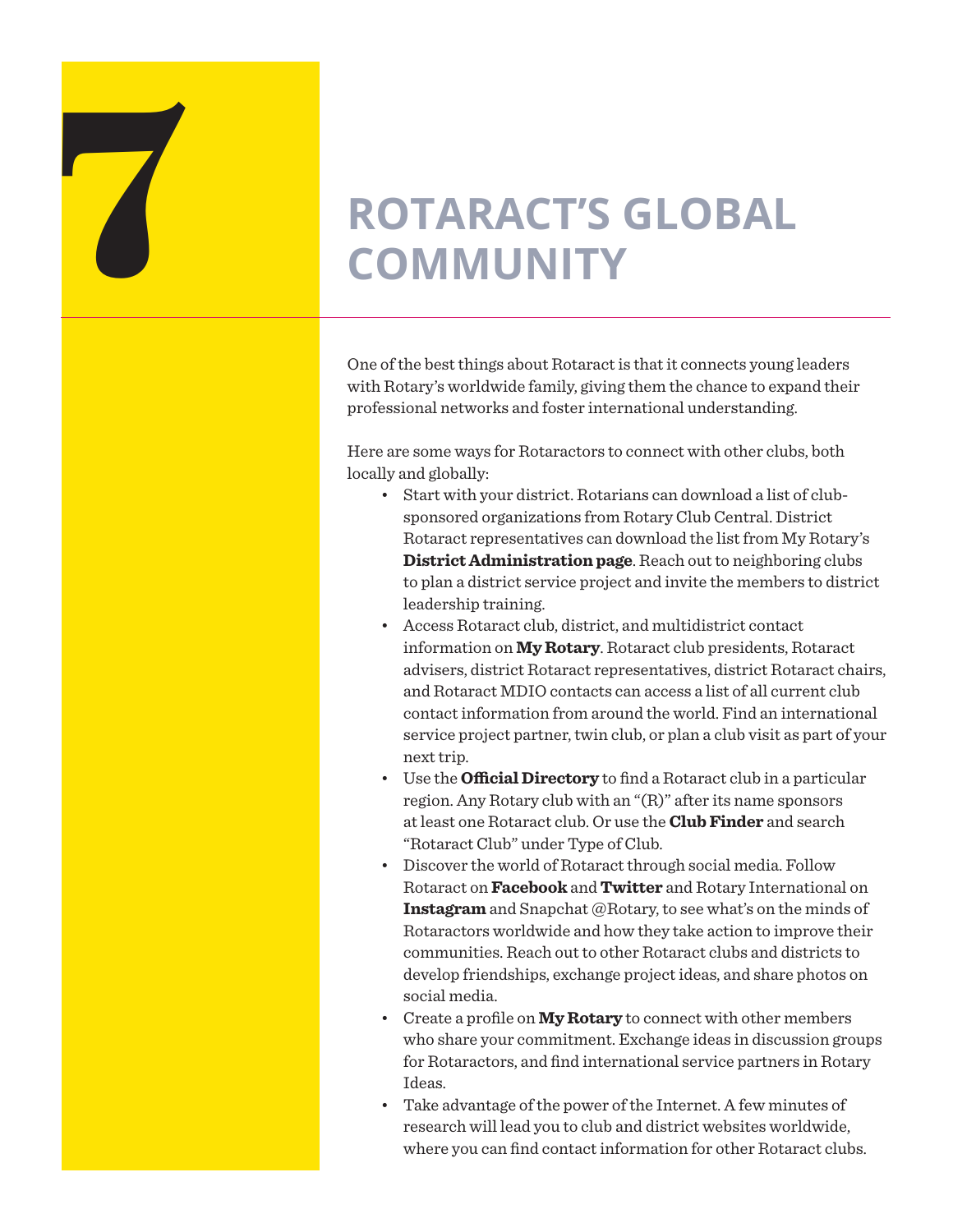## **ROTARACT'S GLOBAL COMMUNITY COMMUNITY**

One of the best things about Rotaract is that it connects young leaders with Rotary's worldwide family, giving them the chance to expand their professional networks and foster international understanding.

Here are some ways for Rotaractors to connect with other clubs, both locally and globally:

- Start with your district. Rotarians can download a list of clubsponsored organizations from Rotary Club Central. District Rotaract representatives can download the list from My Rotary's **[District Administration page](https://my.rotary.org/en/manage/club-district-administration/district-administration)**. Reach out to neighboring clubs to plan a district service project and invite the members to district leadership training.
- Access Rotaract club, district, and multidistrict contact information on **[My Rotary](https://my.rotary.org/en)**. Rotaract club presidents, Rotaract advisers, district Rotaract representatives, district Rotaract chairs, and Rotaract MDIO contacts can access a list of all current club contact information from around the world. Find an international service project partner, twin club, or plan a club visit as part of your next trip.
- Use the **[Official Directory](https://my.rotary.org/en/search/official-directory)** to find a Rotaract club in a particular region. Any Rotary club with an "(R)" after its name sponsors at least one Rotaract club. Or use the **[Club Finder](https://my.rotary.org/en/search/club-finder)** and search "Rotaract Club" under Type of Club.
- Discover the world of Rotaract through social media. Follow Rotaract on **[Facebook](https://www.facebook.com/rotaractor/)** and **[Twitter](https://twitter.com/rotaract)** and Rotary International on **[Instagram](https://www.instagram.com/rotaryinternational/)** and Snapchat @Rotary, to see what's on the minds of Rotaractors worldwide and how they take action to improve their communities. Reach out to other Rotaract clubs and districts to develop friendships, exchange project ideas, and share photos on social media.
- Create a profile on **[My Rotary](https://my.rotary.org/en)** to connect with other members who share your commitment. Exchange ideas in discussion groups for Rotaractors, and find international service partners in Rotary Ideas.
- Take advantage of the power of the Internet. A few minutes of research will lead you to club and district websites worldwide, where you can find contact information for other Rotaract clubs.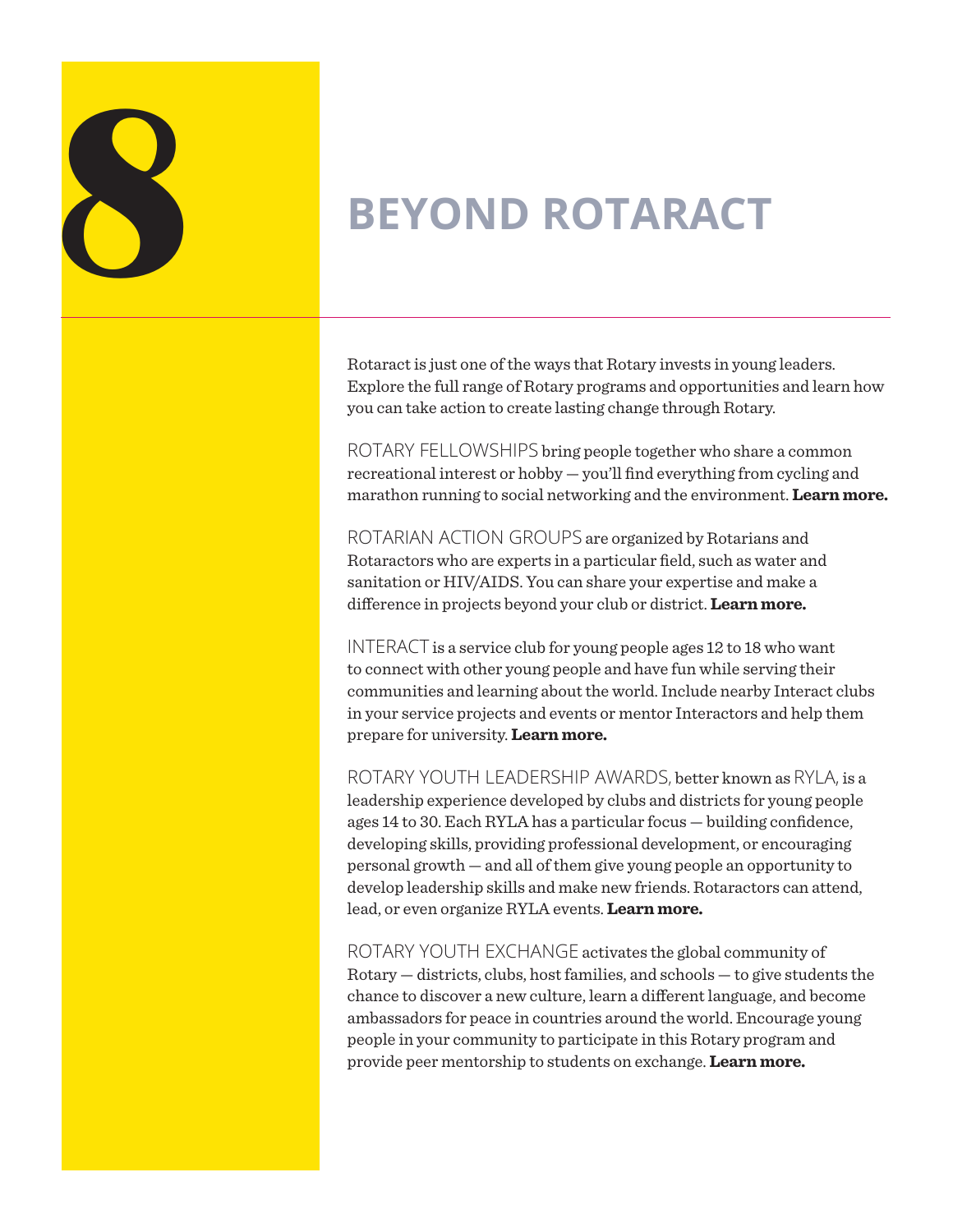

Rotaract is just one of the ways that Rotary invests in young leaders. Explore the full range of Rotary programs and opportunities and learn how you can take action to create lasting change through Rotary.

ROTARY FELLOWSHIPS bring people together who share a common recreational interest or hobby — you'll find everything from cycling and marathon running to social networking and the environment. **[Learn more.](https://www.rotary.org/en/our-programs/more-fellowships)**

ROTARIAN ACTION GROUPS are organized by Rotarians and Rotaractors who are experts in a particular field, such as water and sanitation or HIV/AIDS. You can share your expertise and make a difference in projects beyond your club or district. **[Learn more.](http://www.rotary.org/actiongroups)**

INTERACT is a service club for young people ages 12 to 18 who want to connect with other young people and have fun while serving their communities and learning about the world. Include nearby Interact clubs in your service projects and events or mentor Interactors and help them prepare for university. **[Learn more.](https://www.rotary.org/en/get-involved/interact-clubs)**

ROTARY YOUTH LEADERSHIP AWARDS, better known as RYLA, is a leadership experience developed by clubs and districts for young people ages 14 to 30. Each RYLA has a particular focus — building confidence, developing skills, providing professional development, or encouraging personal growth — and all of them give young people an opportunity to develop leadership skills and make new friends. Rotaractors can attend, lead, or even organize RYLA events. **[Learn more.](https://www.rotary.org/en/our-programs/rotary-youth-leadership-awards)**

ROTARY YOUTH EXCHANGE activates the global community of Rotary — districts, clubs, host families, and schools — to give students the chance to discover a new culture, learn a different language, and become ambassadors for peace in countries around the world. Encourage young people in your community to participate in this Rotary program and provide peer mentorship to students on exchange. **[Learn more.](https://www.rotary.org/en/our-programs/youth-exchanges)**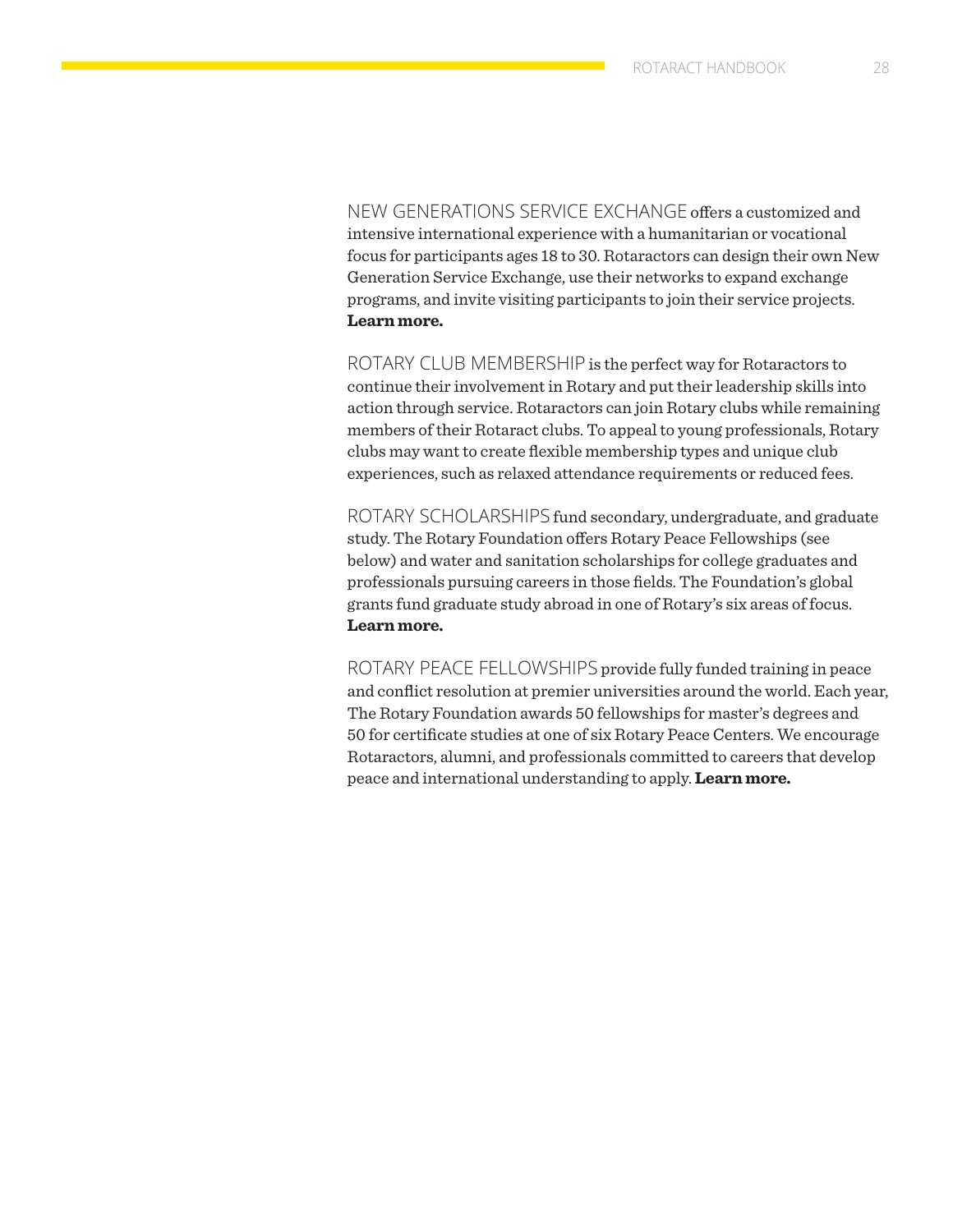NEW GENERATIONS SERVICE EXCHANGE offers a customized and intensive international experience with a humanitarian or vocational focus for participants ages 18 to 30. Rotaractors can design their own New Generation Service Exchange, use their networks to expand exchange programs, and invite visiting participants to join their service projects. **[Learn more.](https://www.rotary.org/en/our-programs/new-generations-service-exchange)**

ROTARY CLUB MEMBERSHIP is the perfect way for Rotaractors to continue their involvement in Rotary and put their leadership skills into action through service. Rotaractors can join Rotary clubs while remaining members of their Rotaract clubs. To appeal to young professionals, Rotary clubs may want to create flexible membership types and unique club experiences, such as relaxed attendance requirements or reduced fees.

ROTARY SCHOLARSHIPS fund secondary, undergraduate, and graduate study. The Rotary Foundation offers Rotary Peace Fellowships (see below) and water and sanitation scholarships for college graduates and professionals pursuing careers in those fields. The Foundation's global grants fund graduate study abroad in one of Rotary's six areas of focus. **[Learn more.](https://www.rotary.org/en/our-programs/scholarships)**

ROTARY PEACE FELLOWSHIPS provide fully funded training in peace and conflict resolution at premier universities around the world. Each year, The Rotary Foundation awards 50 fellowships for master's degrees and 50 for certificate studies at one of six Rotary Peace Centers. We encourage Rotaractors, alumni, and professionals committed to careers that develop peace and international understanding to apply. **[Learn more.](https://www.rotary.org/en/our-programs/peace-fellowships)**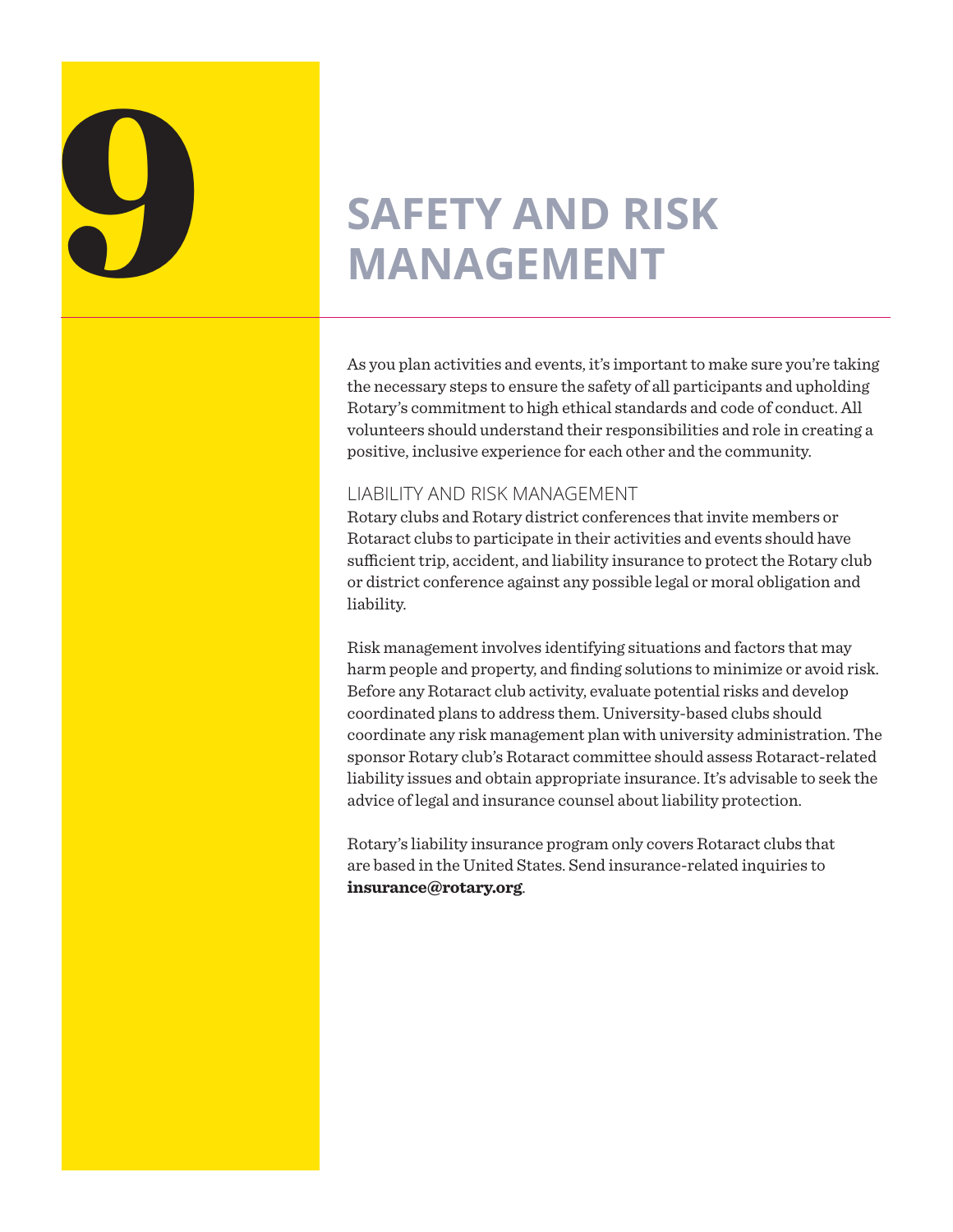# **SAFETY AND RISK MANAGEMENT**

As you plan activities and events, it's important to make sure you're taking the necessary steps to ensure the safety of all participants and upholding Rotary's commitment to high ethical standards and code of conduct. All volunteers should understand their responsibilities and role in creating a positive, inclusive experience for each other and the community.

### LIABILITY AND RISK MANAGEMENT

Rotary clubs and Rotary district conferences that invite members or Rotaract clubs to participate in their activities and events should have sufficient trip, accident, and liability insurance to protect the Rotary club or district conference against any possible legal or moral obligation and liability.

Risk management involves identifying situations and factors that may harm people and property, and finding solutions to minimize or avoid risk. Before any Rotaract club activity, evaluate potential risks and develop coordinated plans to address them. University-based clubs should coordinate any risk management plan with university administration. The sponsor Rotary club's Rotaract committee should assess Rotaract-related liability issues and obtain appropriate insurance. It's advisable to seek the advice of legal and insurance counsel about liability protection.

Rotary's liability insurance program only covers Rotaract clubs that are based in the United States. Send insurance-related inquiries to **[insurance@rotary.org](mailto:insurance%40rotary.org?subject=)**.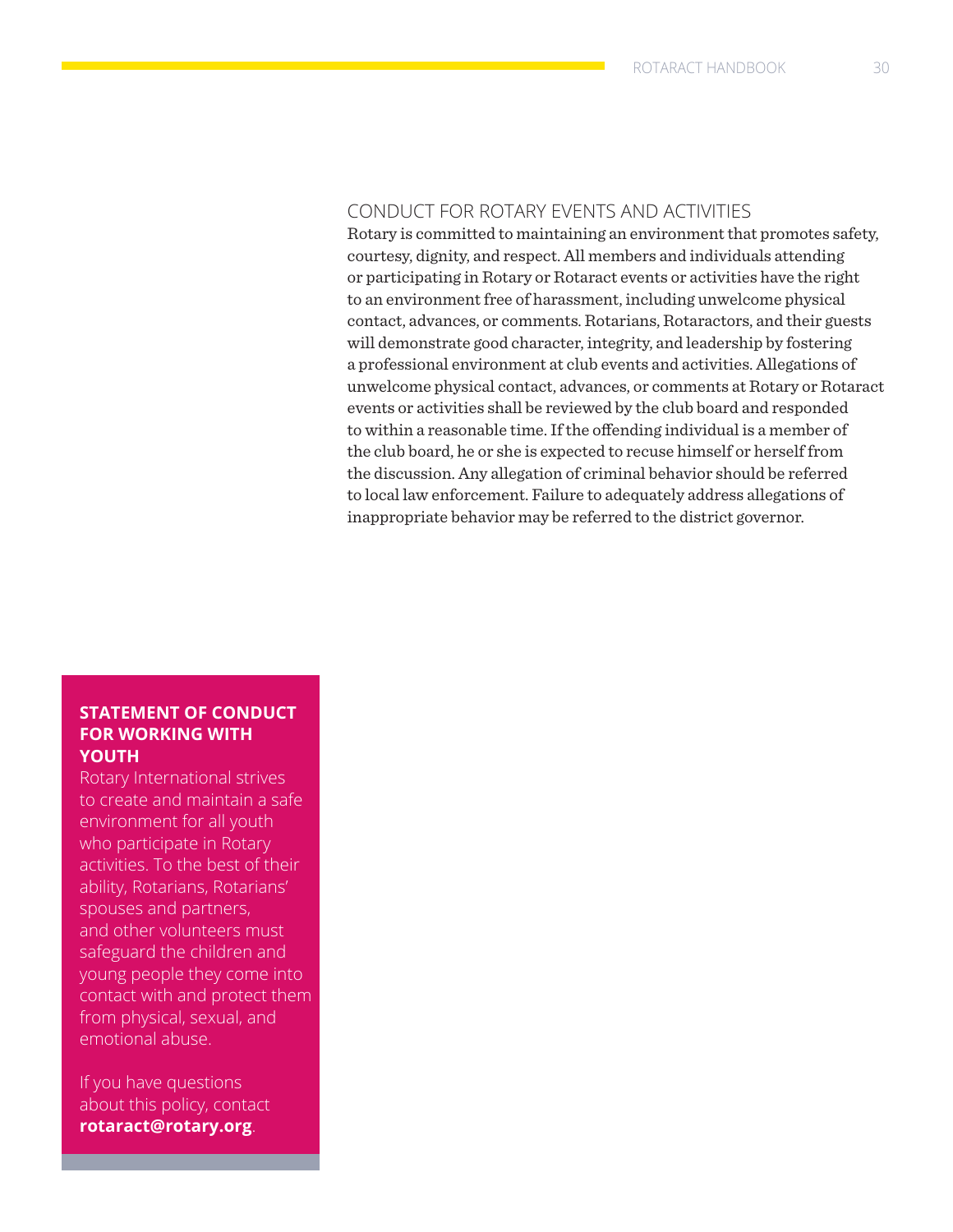### CONDUCT FOR ROTARY EVENTS AND ACTIVITIES

Rotary is committed to maintaining an environment that promotes safety, courtesy, dignity, and respect. All members and individuals attending or participating in Rotary or Rotaract events or activities have the right to an environment free of harassment, including unwelcome physical contact, advances, or comments. Rotarians, Rotaractors, and their guests will demonstrate good character, integrity, and leadership by fostering a professional environment at club events and activities. Allegations of unwelcome physical contact, advances, or comments at Rotary or Rotaract events or activities shall be reviewed by the club board and responded to within a reasonable time. If the offending individual is a member of the club board, he or she is expected to recuse himself or herself from the discussion. Any allegation of criminal behavior should be referred to local law enforcement. Failure to adequately address allegations of inappropriate behavior may be referred to the district governor.

### **STATEMENT OF CONDUCT FOR WORKING WITH YOUTH**

Rotary International strives to create and maintain a safe environment for all youth who participate in Rotary activities. To the best of their ability, Rotarians, Rotarians' spouses and partners, and other volunteers must safeguard the children and young people they come into contact with and protect them from physical, sexual, and emotional abuse.

If you have questions about this policy, contact **[rotaract@rotary.org](mailto:rotaract@rotary.org)**.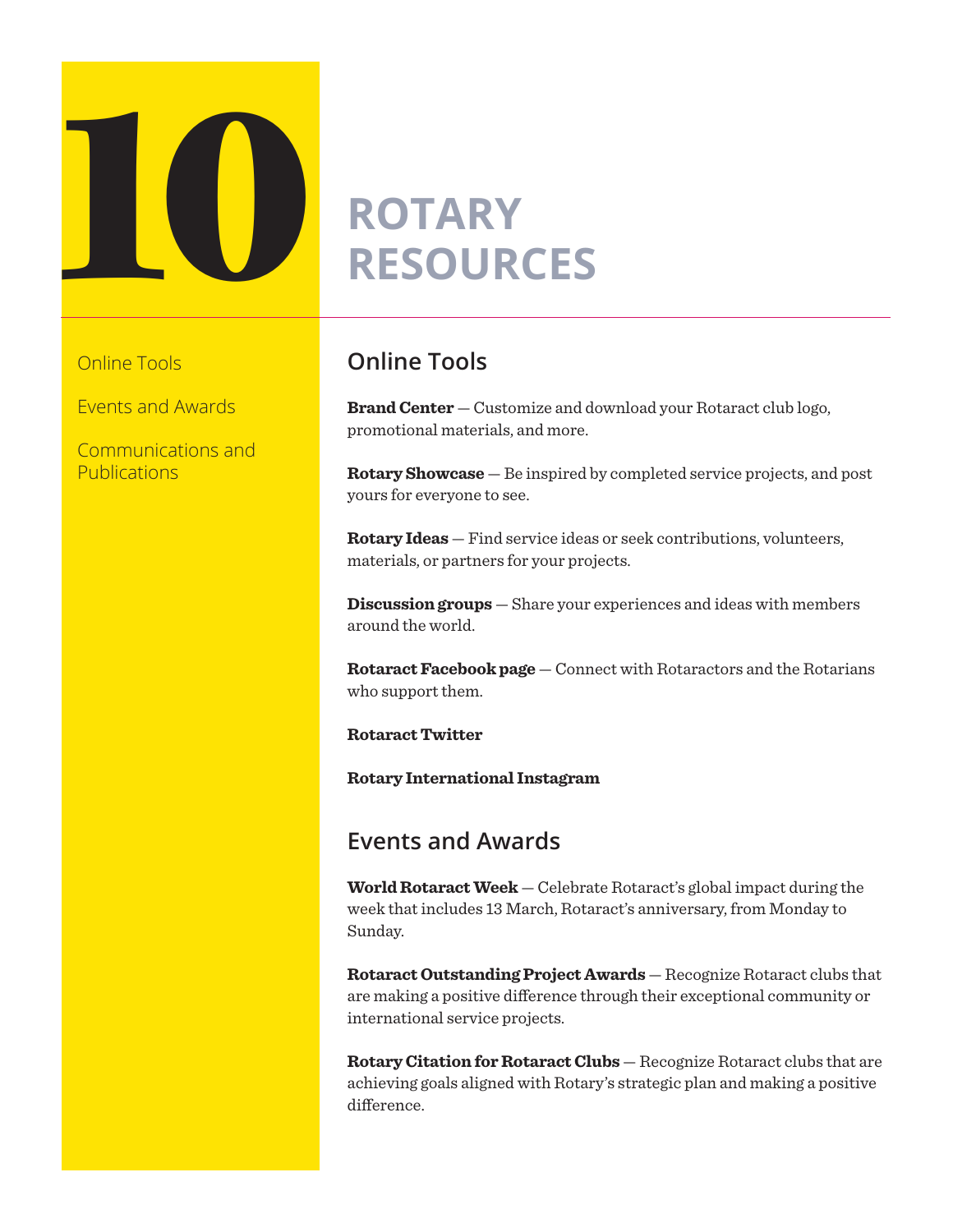

Online Tools

Events and Awards

Communications and Publications

### **Online Tools**

**[Brand Center](https://my.rotary.org/en/secure/101736)** — Customize and download your Rotaract club logo, promotional materials, and more.

**[Rotary Showcase](http://map.rotary.org/en/project/pages/project_showcase.aspx)** — Be inspired by completed service projects, and post yours for everyone to see.

**[Rotary Ideas](http://ideas.rotary.org/)** — Find service ideas or seek contributions, volunteers, materials, or partners for your projects.

**[Discussion groups](https://www.rotary.org/myrotary/en/exchange-ideas/groups)** — Share your experiences and ideas with members around the world.

**[Rotaract Facebook page](https://www.facebook.com/rotaractor)** — Connect with Rotaractors and the Rotarians who support them.

**[Rotaract Twitter](https://twitter.com/rotaract)**

**[Rotary International Instagram](https://www.instagram.com/rotaryinternational/)**

### **Events and Awards**

**[World Rotaract Week](https://www.rotary.org/calendar)** — Celebrate Rotaract's global impact during the week that includes 13 March, Rotaract's anniversary, from Monday to Sunday.

**[Rotaract Outstanding Project Awards](https://my.rotary.org/en/learning-reference/learn-topic/awards)** — Recognize Rotaract clubs that are making a positive difference through their exceptional community or international service projects.

**[Rotary Citation for Rotaract Clubs](https://www.rotary.org/awards)** — Recognize Rotaract clubs that are achieving goals aligned with Rotary's strategic plan and making a positive difference.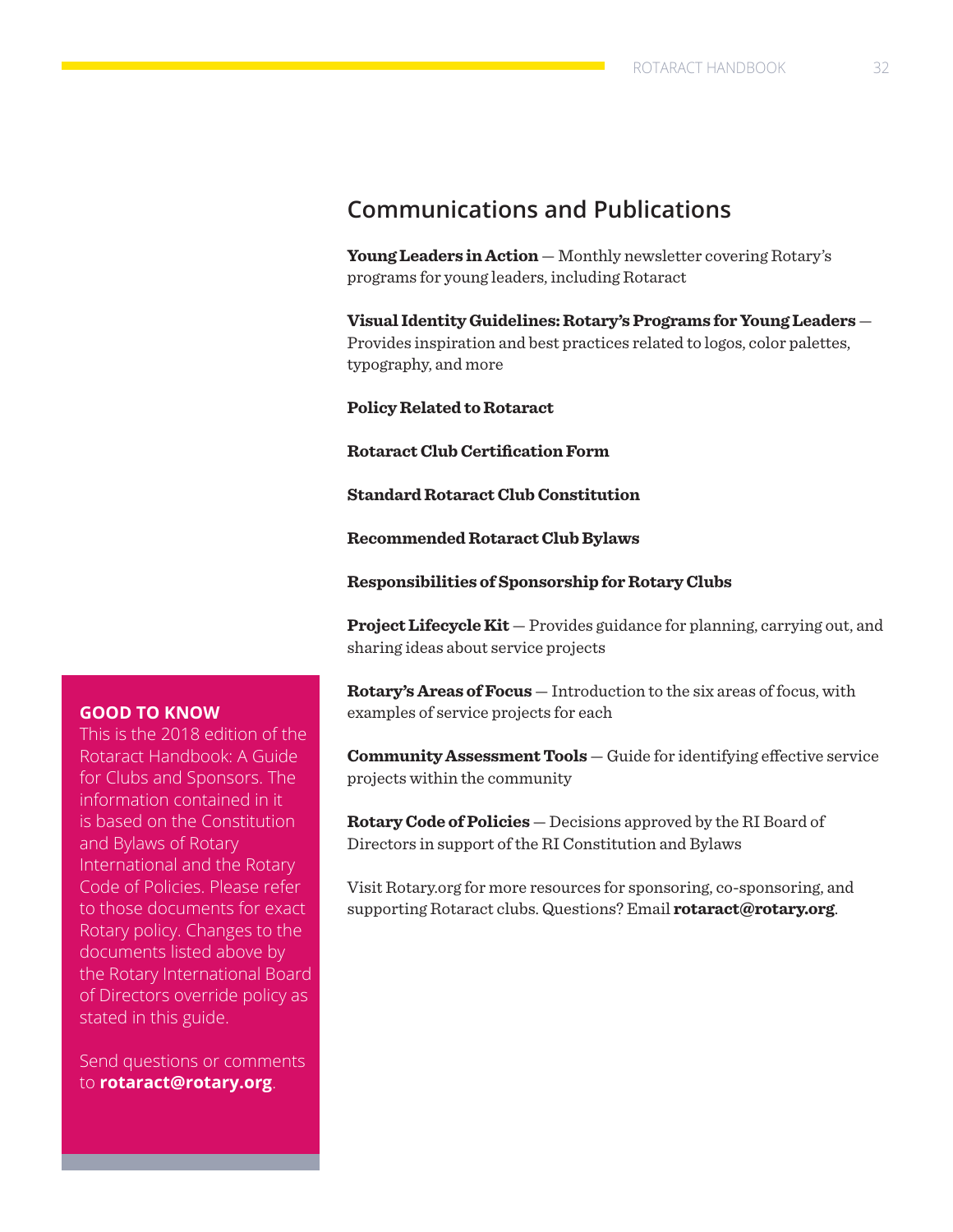### **Communications and Publications**

**[Young Leaders in Action](https://www.rotary.org/myrotary/en/news-features/newsletters)** — Monthly newsletter covering Rotary's programs for young leaders, including Rotaract

**[Visual Identity Guidelines: Rotary's Programs for Young Leaders](https://brandcenter.rotary.org/en-GB/App/AssetDetails/b/www/Asset/Details/959?brand=www&returnUrl=https%3a%2f%2fbrandcenter.rotary.org%2fen-GB%2fGuidelines&page=1&pageSize=20&showadvancedsearch=True&showkeywordfilters=True&showselectedkeywordfilters=True&b=www&bs=www&k=42&k=17&pg=Archived&pg=Deleted&pg=Public&pg=Unapproved&view=Standard)** — Provides inspiration and best practices related to logos, color palettes, typography, and more

**[Policy Related to Rotaract](https://my.rotary.org/en/document/policy-related-rotaract)**

**[Rotaract Club Certification Form](https://my.rotary.org/en/document/rotaract-club-certification-form)** 

**[Standard Rotaract Club Constitution](https://my.rotary.org/en/document/standard-rotaract-club-constitution)**

**[Recommended Rotaract Club Bylaws](https://my.rotary.org/en/document/recommended-rotaract-club-bylaws)**

**[Responsibilities of Sponsorship for Rotary Clubs](https://my.rotary.org/en/document/interact-and-rotaract-sponsorship-and-co-sponsorship)**

**[Project Lifecycle Kit](https://my.rotary.org/en/document/project-lifecycle-kit)** — Provides guidance for planning, carrying out, and sharing ideas about service projects

**[Rotary's Areas of Focus](https://www.rotary.org/myrotary/en/document/589)** — Introduction to the six areas of focus, with examples of service projects for each

**[Community Assessment Tools](https://www.rotary.org/myrotary/en/document/578)** — Guide for identifying effective service projects within the community

**[Rotary Code of Policies](https://www.rotary.org/myrotary/en/document/622)** — Decisions approved by the RI Board of Directors in support of the RI Constitution and Bylaws

Visit Rotary.org for more resources for sponsoring, co-sponsoring, and supporting Rotaract clubs. Questions? Email **[rotaract@rotary.org](mailto:rotaract@rotary.org)**.

### **GOOD TO KNOW**

This is the 2018 edition of the Rotaract Handbook: A Guide for Clubs and Sponsors. The information contained in it is based on the Constitution and Bylaws of Rotary International and the Rotary Code of Policies. Please refer to those documents for exact Rotary policy. Changes to the documents listed above by the Rotary International Board of Directors override policy as stated in this guide.

Send questions or comments to **[rotaract@rotary.org](mailto:rotaract@rotary.org)**.